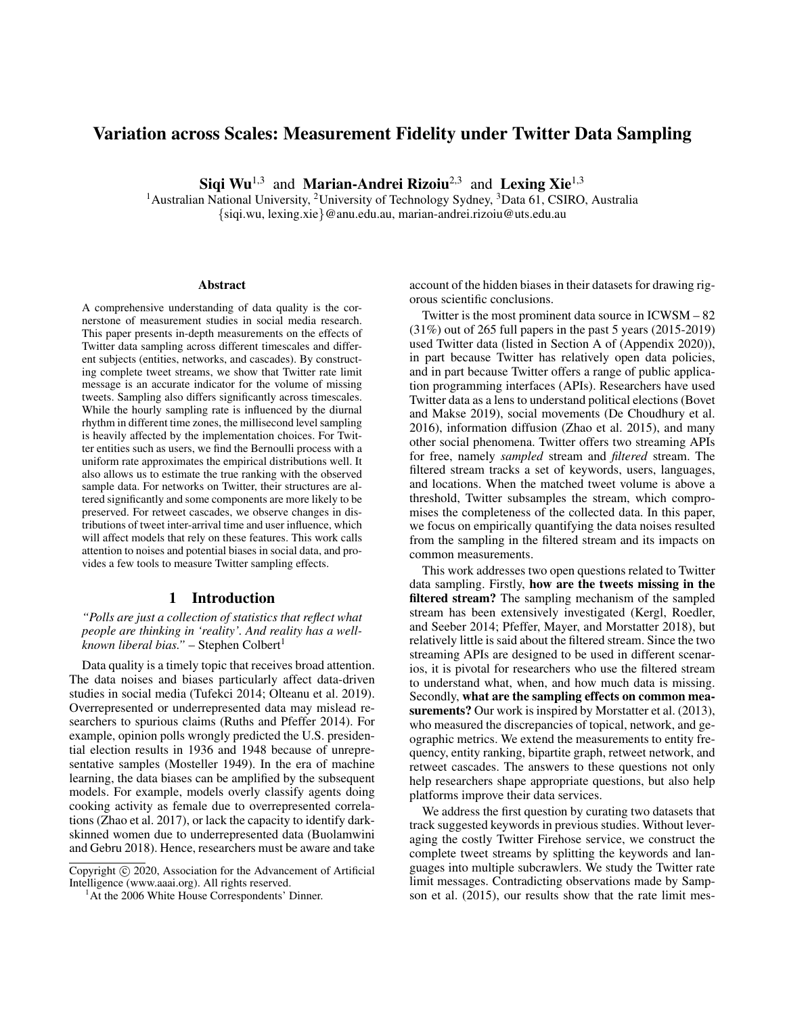# Variation across Scales: Measurement Fidelity under Twitter Data Sampling

Siqi Wu<sup>1,3</sup> and Marian-Andrei Rizoiu<sup>2,3</sup> and Lexing Xie<sup>1,3</sup>

<sup>1</sup>Australian National University, <sup>2</sup>University of Technology Sydney, <sup>3</sup>Data 61, CSIRO, Australia {siqi.wu, lexing.xie}@anu.edu.au, marian-andrei.rizoiu@uts.edu.au

#### Abstract

A comprehensive understanding of data quality is the cornerstone of measurement studies in social media research. This paper presents in-depth measurements on the effects of Twitter data sampling across different timescales and different subjects (entities, networks, and cascades). By constructing complete tweet streams, we show that Twitter rate limit message is an accurate indicator for the volume of missing tweets. Sampling also differs significantly across timescales. While the hourly sampling rate is influenced by the diurnal rhythm in different time zones, the millisecond level sampling is heavily affected by the implementation choices. For Twitter entities such as users, we find the Bernoulli process with a uniform rate approximates the empirical distributions well. It also allows us to estimate the true ranking with the observed sample data. For networks on Twitter, their structures are altered significantly and some components are more likely to be preserved. For retweet cascades, we observe changes in distributions of tweet inter-arrival time and user influence, which will affect models that rely on these features. This work calls attention to noises and potential biases in social data, and provides a few tools to measure Twitter sampling effects.

## 1 Introduction

*"Polls are just a collection of statistics that reflect what people are thinking in 'reality'. And reality has a well-* $$ 

Data quality is a timely topic that receives broad attention. The data noises and biases particularly affect data-driven studies in social media (Tufekci 2014; Olteanu et al. 2019). Overrepresented or underrepresented data may mislead researchers to spurious claims (Ruths and Pfeffer 2014). For example, opinion polls wrongly predicted the U.S. presidential election results in 1936 and 1948 because of unrepresentative samples (Mosteller 1949). In the era of machine learning, the data biases can be amplified by the subsequent models. For example, models overly classify agents doing cooking activity as female due to overrepresented correlations (Zhao et al. 2017), or lack the capacity to identify darkskinned women due to underrepresented data (Buolamwini and Gebru 2018). Hence, researchers must be aware and take

account of the hidden biases in their datasets for drawing rigorous scientific conclusions.

Twitter is the most prominent data source in ICWSM – 82 (31%) out of 265 full papers in the past 5 years (2015-2019) used Twitter data (listed in Section A of (Appendix 2020)), in part because Twitter has relatively open data policies, and in part because Twitter offers a range of public application programming interfaces (APIs). Researchers have used Twitter data as a lens to understand political elections (Bovet and Makse 2019), social movements (De Choudhury et al. 2016), information diffusion (Zhao et al. 2015), and many other social phenomena. Twitter offers two streaming APIs for free, namely *sampled* stream and *filtered* stream. The filtered stream tracks a set of keywords, users, languages, and locations. When the matched tweet volume is above a threshold, Twitter subsamples the stream, which compromises the completeness of the collected data. In this paper, we focus on empirically quantifying the data noises resulted from the sampling in the filtered stream and its impacts on common measurements.

This work addresses two open questions related to Twitter data sampling. Firstly, how are the tweets missing in the filtered stream? The sampling mechanism of the sampled stream has been extensively investigated (Kergl, Roedler, and Seeber 2014; Pfeffer, Mayer, and Morstatter 2018), but relatively little is said about the filtered stream. Since the two streaming APIs are designed to be used in different scenarios, it is pivotal for researchers who use the filtered stream to understand what, when, and how much data is missing. Secondly, what are the sampling effects on common measurements? Our work is inspired by Morstatter et al. (2013), who measured the discrepancies of topical, network, and geographic metrics. We extend the measurements to entity frequency, entity ranking, bipartite graph, retweet network, and retweet cascades. The answers to these questions not only help researchers shape appropriate questions, but also help platforms improve their data services.

We address the first question by curating two datasets that track suggested keywords in previous studies. Without leveraging the costly Twitter Firehose service, we construct the complete tweet streams by splitting the keywords and languages into multiple subcrawlers. We study the Twitter rate limit messages. Contradicting observations made by Sampson et al. (2015), our results show that the rate limit mes-

Copyright (c) 2020, Association for the Advancement of Artificial Intelligence (www.aaai.org). All rights reserved.

<sup>&</sup>lt;sup>1</sup>At the 2006 White House Correspondents' Dinner.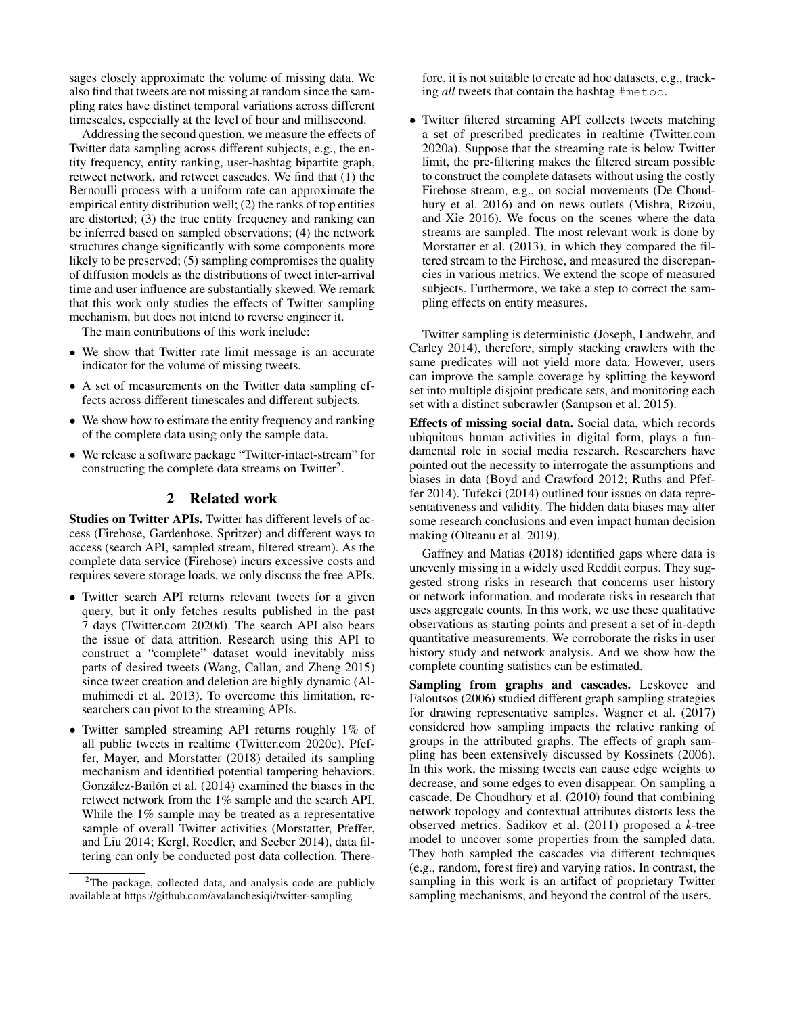sages closely approximate the volume of missing data. We also find that tweets are not missing at random since the sampling rates have distinct temporal variations across different timescales, especially at the level of hour and millisecond.

Addressing the second question, we measure the effects of Twitter data sampling across different subjects, e.g., the entity frequency, entity ranking, user-hashtag bipartite graph, retweet network, and retweet cascades. We find that (1) the Bernoulli process with a uniform rate can approximate the empirical entity distribution well; (2) the ranks of top entities are distorted; (3) the true entity frequency and ranking can be inferred based on sampled observations; (4) the network structures change significantly with some components more likely to be preserved; (5) sampling compromises the quality of diffusion models as the distributions of tweet inter-arrival time and user influence are substantially skewed. We remark that this work only studies the effects of Twitter sampling mechanism, but does not intend to reverse engineer it.

The main contributions of this work include:

- We show that Twitter rate limit message is an accurate indicator for the volume of missing tweets.
- A set of measurements on the Twitter data sampling effects across different timescales and different subjects.
- We show how to estimate the entity frequency and ranking of the complete data using only the sample data.
- We release a software package "Twitter-intact-stream" for constructing the complete data streams on Twitter<sup>2</sup>.

#### 2 Related work

Studies on Twitter APIs. Twitter has different levels of access (Firehose, Gardenhose, Spritzer) and different ways to access (search API, sampled stream, filtered stream). As the complete data service (Firehose) incurs excessive costs and requires severe storage loads, we only discuss the free APIs.

- Twitter search API returns relevant tweets for a given query, but it only fetches results published in the past 7 days (Twitter.com 2020d). The search API also bears the issue of data attrition. Research using this API to construct a "complete" dataset would inevitably miss parts of desired tweets (Wang, Callan, and Zheng 2015) since tweet creation and deletion are highly dynamic (Almuhimedi et al. 2013). To overcome this limitation, researchers can pivot to the streaming APIs.
- Twitter sampled streaming API returns roughly 1% of all public tweets in realtime (Twitter.com 2020c). Pfeffer, Mayer, and Morstatter (2018) detailed its sampling mechanism and identified potential tampering behaviors. González-Bailón et al. (2014) examined the biases in the retweet network from the 1% sample and the search API. While the 1% sample may be treated as a representative sample of overall Twitter activities (Morstatter, Pfeffer, and Liu 2014; Kergl, Roedler, and Seeber 2014), data filtering can only be conducted post data collection. There-

fore, it is not suitable to create ad hoc datasets, e.g., tracking *all* tweets that contain the hashtag #metoo.

• Twitter filtered streaming API collects tweets matching a set of prescribed predicates in realtime (Twitter.com 2020a). Suppose that the streaming rate is below Twitter limit, the pre-filtering makes the filtered stream possible to construct the complete datasets without using the costly Firehose stream, e.g., on social movements (De Choudhury et al. 2016) and on news outlets (Mishra, Rizoiu, and Xie 2016). We focus on the scenes where the data streams are sampled. The most relevant work is done by Morstatter et al. (2013), in which they compared the filtered stream to the Firehose, and measured the discrepancies in various metrics. We extend the scope of measured subjects. Furthermore, we take a step to correct the sampling effects on entity measures.

Twitter sampling is deterministic (Joseph, Landwehr, and Carley 2014), therefore, simply stacking crawlers with the same predicates will not yield more data. However, users can improve the sample coverage by splitting the keyword set into multiple disjoint predicate sets, and monitoring each set with a distinct subcrawler (Sampson et al. 2015).

Effects of missing social data. Social data, which records ubiquitous human activities in digital form, plays a fundamental role in social media research. Researchers have pointed out the necessity to interrogate the assumptions and biases in data (Boyd and Crawford 2012; Ruths and Pfeffer 2014). Tufekci (2014) outlined four issues on data representativeness and validity. The hidden data biases may alter some research conclusions and even impact human decision making (Olteanu et al. 2019).

Gaffney and Matias (2018) identified gaps where data is unevenly missing in a widely used Reddit corpus. They suggested strong risks in research that concerns user history or network information, and moderate risks in research that uses aggregate counts. In this work, we use these qualitative observations as starting points and present a set of in-depth quantitative measurements. We corroborate the risks in user history study and network analysis. And we show how the complete counting statistics can be estimated.

Sampling from graphs and cascades. Leskovec and Faloutsos (2006) studied different graph sampling strategies for drawing representative samples. Wagner et al. (2017) considered how sampling impacts the relative ranking of groups in the attributed graphs. The effects of graph sampling has been extensively discussed by Kossinets (2006). In this work, the missing tweets can cause edge weights to decrease, and some edges to even disappear. On sampling a cascade, De Choudhury et al. (2010) found that combining network topology and contextual attributes distorts less the observed metrics. Sadikov et al. (2011) proposed a *k*-tree model to uncover some properties from the sampled data. They both sampled the cascades via different techniques (e.g., random, forest fire) and varying ratios. In contrast, the sampling in this work is an artifact of proprietary Twitter sampling mechanisms, and beyond the control of the users.

<sup>&</sup>lt;sup>2</sup>The package, collected data, and analysis code are publicly available at https://github.com/avalanchesiqi/twitter-sampling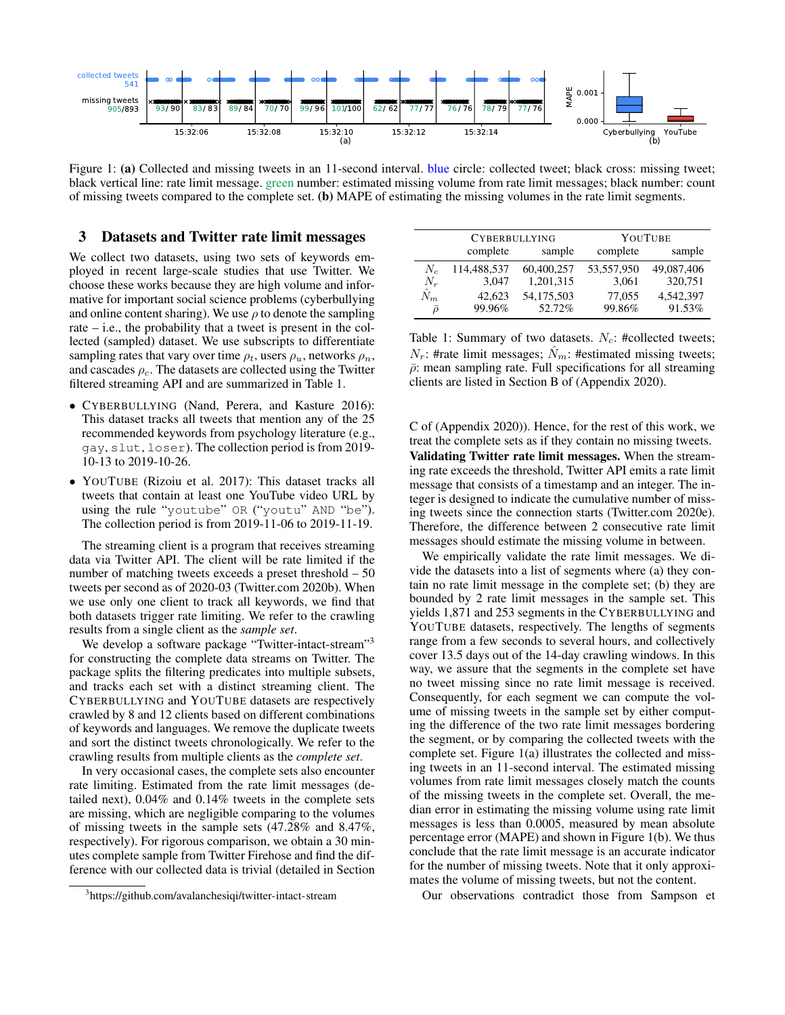

Figure 1: (a) Collected and missing tweets in an 11-second interval. blue circle: collected tweet; black cross: missing tweet; black vertical line: rate limit message. green number: estimated missing volume from rate limit messages; black number: count of missing tweets compared to the complete set. (b) MAPE of estimating the missing volumes in the rate limit segments.

#### 3 Datasets and Twitter rate limit messages

We collect two datasets, using two sets of keywords employed in recent large-scale studies that use Twitter. We choose these works because they are high volume and informative for important social science problems (cyberbullying and online content sharing). We use  $\rho$  to denote the sampling rate – i.e., the probability that a tweet is present in the collected (sampled) dataset. We use subscripts to differentiate sampling rates that vary over time  $\rho_t$ , users  $\rho_u$ , networks  $\rho_n$ , and cascades  $\rho_c$ . The datasets are collected using the Twitter filtered streaming API and are summarized in Table 1.

- CYBERBULLYING (Nand, Perera, and Kasture 2016): This dataset tracks all tweets that mention any of the 25 recommended keywords from psychology literature (e.g., gay, slut, loser). The collection period is from 2019- 10-13 to 2019-10-26.
- YOUTUBE (Rizoiu et al. 2017): This dataset tracks all tweets that contain at least one YouTube video URL by using the rule "youtube" OR ("youtu" AND "be"). The collection period is from 2019-11-06 to 2019-11-19.

The streaming client is a program that receives streaming data via Twitter API. The client will be rate limited if the number of matching tweets exceeds a preset threshold – 50 tweets per second as of 2020-03 (Twitter.com 2020b). When we use only one client to track all keywords, we find that both datasets trigger rate limiting. We refer to the crawling results from a single client as the *sample set*.

We develop a software package "Twitter-intact-stream"<sup>3</sup> for constructing the complete data streams on Twitter. The package splits the filtering predicates into multiple subsets, and tracks each set with a distinct streaming client. The CYBERBULLYING and YOUTUBE datasets are respectively crawled by 8 and 12 clients based on different combinations of keywords and languages. We remove the duplicate tweets and sort the distinct tweets chronologically. We refer to the crawling results from multiple clients as the *complete set*.

In very occasional cases, the complete sets also encounter rate limiting. Estimated from the rate limit messages (detailed next), 0.04% and 0.14% tweets in the complete sets are missing, which are negligible comparing to the volumes of missing tweets in the sample sets (47.28% and 8.47%, respectively). For rigorous comparison, we obtain a 30 minutes complete sample from Twitter Firehose and find the difference with our collected data is trivial (detailed in Section

|              | <b>CYBERBULLYING</b> |            | YOUTUBE    |            |  |
|--------------|----------------------|------------|------------|------------|--|
|              | complete<br>sample   |            | complete   | sample     |  |
| $N_c$        | 114,488,537          | 60,400,257 | 53,557,950 | 49,087,406 |  |
| $N_r$        | 3.047                | 1,201,315  | 3,061      | 320,751    |  |
|              | 42,623               | 54,175,503 | 77,055     | 4,542,397  |  |
| $\bar{\rho}$ | 99.96%               | 52.72%     | 99.86%     | 91.53%     |  |

Table 1: Summary of two datasets.  $N_c$ : #collected tweets;  $N_r$ : #rate limit messages;  $\hat{N}_m$ : #estimated missing tweets;  $\bar{\rho}$ : mean sampling rate. Full specifications for all streaming clients are listed in Section B of (Appendix 2020).

C of (Appendix 2020)). Hence, for the rest of this work, we treat the complete sets as if they contain no missing tweets. Validating Twitter rate limit messages. When the streaming rate exceeds the threshold, Twitter API emits a rate limit message that consists of a timestamp and an integer. The integer is designed to indicate the cumulative number of missing tweets since the connection starts (Twitter.com 2020e). Therefore, the difference between 2 consecutive rate limit messages should estimate the missing volume in between.

We empirically validate the rate limit messages. We divide the datasets into a list of segments where (a) they contain no rate limit message in the complete set; (b) they are bounded by 2 rate limit messages in the sample set. This yields 1,871 and 253 segments in the CYBERBULLYING and YOUTUBE datasets, respectively. The lengths of segments range from a few seconds to several hours, and collectively cover 13.5 days out of the 14-day crawling windows. In this way, we assure that the segments in the complete set have no tweet missing since no rate limit message is received. Consequently, for each segment we can compute the volume of missing tweets in the sample set by either computing the difference of the two rate limit messages bordering the segment, or by comparing the collected tweets with the complete set. Figure 1(a) illustrates the collected and missing tweets in an 11-second interval. The estimated missing volumes from rate limit messages closely match the counts of the missing tweets in the complete set. Overall, the median error in estimating the missing volume using rate limit messages is less than 0.0005, measured by mean absolute percentage error (MAPE) and shown in Figure 1(b). We thus conclude that the rate limit message is an accurate indicator for the number of missing tweets. Note that it only approximates the volume of missing tweets, but not the content.

Our observations contradict those from Sampson et

<sup>3</sup> https://github.com/avalanchesiqi/twitter-intact-stream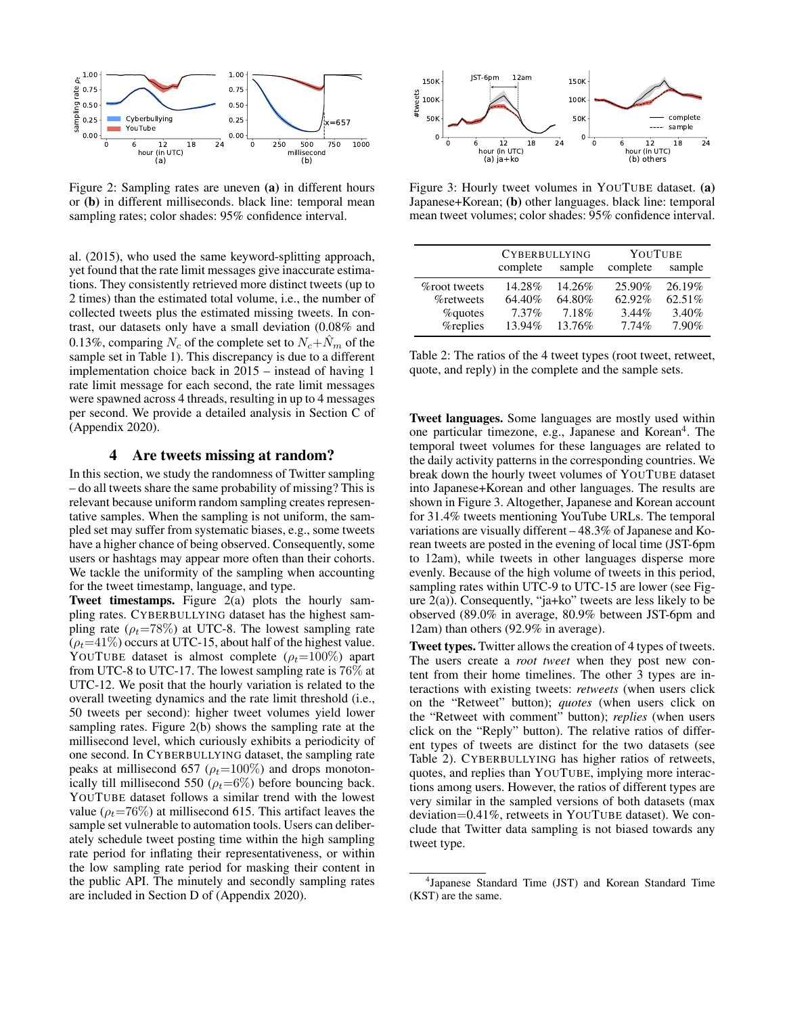

Figure 2: Sampling rates are uneven (a) in different hours or (b) in different milliseconds. black line: temporal mean sampling rates; color shades: 95% confidence interval.

al. (2015), who used the same keyword-splitting approach, yet found that the rate limit messages give inaccurate estimations. They consistently retrieved more distinct tweets (up to 2 times) than the estimated total volume, i.e., the number of collected tweets plus the estimated missing tweets. In contrast, our datasets only have a small deviation (0.08% and 0.13%, comparing  $N_c$  of the complete set to  $N_c + N_m$  of the sample set in Table 1). This discrepancy is due to a different implementation choice back in 2015 – instead of having 1 rate limit message for each second, the rate limit messages were spawned across 4 threads, resulting in up to 4 messages per second. We provide a detailed analysis in Section C of (Appendix 2020).

#### 4 Are tweets missing at random?

In this section, we study the randomness of Twitter sampling – do all tweets share the same probability of missing? This is relevant because uniform random sampling creates representative samples. When the sampling is not uniform, the sampled set may suffer from systematic biases, e.g., some tweets have a higher chance of being observed. Consequently, some users or hashtags may appear more often than their cohorts. We tackle the uniformity of the sampling when accounting for the tweet timestamp, language, and type.

Tweet timestamps. Figure 2(a) plots the hourly sampling rates. CYBERBULLYING dataset has the highest sampling rate ( $\rho_t$ =78%) at UTC-8. The lowest sampling rate  $(\rho_t=41\%)$  occurs at UTC-15, about half of the highest value. YOUTUBE dataset is almost complete  $(\rho_t=100\%)$  apart from UTC-8 to UTC-17. The lowest sampling rate is 76% at UTC-12. We posit that the hourly variation is related to the overall tweeting dynamics and the rate limit threshold (i.e., 50 tweets per second): higher tweet volumes yield lower sampling rates. Figure 2(b) shows the sampling rate at the millisecond level, which curiously exhibits a periodicity of one second. In CYBERBULLYING dataset, the sampling rate peaks at millisecond 657 ( $\rho_t$ =100%) and drops monotonically till millisecond 550 ( $\rho_t$ =6%) before bouncing back. YOUTUBE dataset follows a similar trend with the lowest value ( $\rho_t$ =76%) at millisecond 615. This artifact leaves the sample set vulnerable to automation tools. Users can deliberately schedule tweet posting time within the high sampling rate period for inflating their representativeness, or within the low sampling rate period for masking their content in the public API. The minutely and secondly sampling rates are included in Section D of (Appendix 2020).



Figure 3: Hourly tweet volumes in YOUTUBE dataset. (a) Japanese+Korean; (b) other languages. black line: temporal mean tweet volumes; color shades: 95% confidence interval.

|                     | <b>CYBERBULLYING</b> |        | YOUTUBE  |        |  |
|---------------------|----------------------|--------|----------|--------|--|
|                     | complete             | sample | complete | sample |  |
| <b>%root</b> tweets | 14.28%               | 14.26% | 25.90%   | 26.19% |  |
| <i>n</i> etweets    | 64.40%               | 64.80% | 62.92%   | 62.51% |  |
| $\%$ quotes         | $7.37\%$             | 7.18%  | $3.44\%$ | 3.40%  |  |
| %replies            | 13.94%               | 13.76% | 7.74%    | 7.90%  |  |

Table 2: The ratios of the 4 tweet types (root tweet, retweet, quote, and reply) in the complete and the sample sets.

Tweet languages. Some languages are mostly used within one particular timezone, e.g., Japanese and Korean<sup>4</sup>. The temporal tweet volumes for these languages are related to the daily activity patterns in the corresponding countries. We break down the hourly tweet volumes of YOUTUBE dataset into Japanese+Korean and other languages. The results are shown in Figure 3. Altogether, Japanese and Korean account for 31.4% tweets mentioning YouTube URLs. The temporal variations are visually different – 48.3% of Japanese and Korean tweets are posted in the evening of local time (JST-6pm to 12am), while tweets in other languages disperse more evenly. Because of the high volume of tweets in this period, sampling rates within UTC-9 to UTC-15 are lower (see Figure  $2(a)$ ). Consequently, "ja+ko" tweets are less likely to be observed (89.0% in average, 80.9% between JST-6pm and 12am) than others (92.9% in average).

Tweet types. Twitter allows the creation of 4 types of tweets. The users create a *root tweet* when they post new content from their home timelines. The other 3 types are interactions with existing tweets: *retweets* (when users click on the "Retweet" button); *quotes* (when users click on the "Retweet with comment" button); *replies* (when users click on the "Reply" button). The relative ratios of different types of tweets are distinct for the two datasets (see Table 2). CYBERBULLYING has higher ratios of retweets, quotes, and replies than YOUTUBE, implying more interactions among users. However, the ratios of different types are very similar in the sampled versions of both datasets (max deviation=0.41%, retweets in YOUTUBE dataset). We conclude that Twitter data sampling is not biased towards any tweet type.

<sup>4</sup> Japanese Standard Time (JST) and Korean Standard Time (KST) are the same.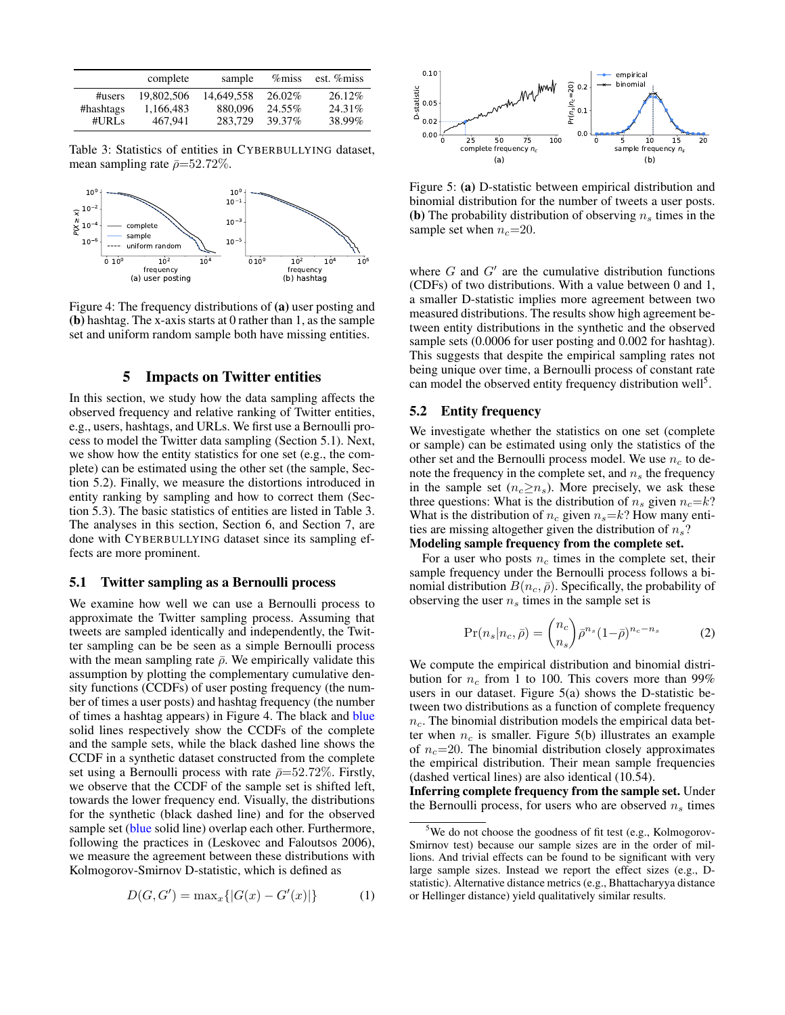|                     | complete                | sample                | <i>%miss</i>     | est. <i>miss</i>  |
|---------------------|-------------------------|-----------------------|------------------|-------------------|
| #users<br>#hashtags | 19.802.506<br>1.166.483 | 14.649.558<br>880,096 | 26.02%<br>24.55% | 26.12%<br>24.31\% |
| $\#URLS$            | 467.941                 | 283,729               | 39.37%           | 38.99%            |

Table 3: Statistics of entities in CYBERBULLYING dataset, mean sampling rate  $\bar{\rho}=52.72\%$ .



Figure 4: The frequency distributions of (a) user posting and (b) hashtag. The x-axis starts at 0 rather than 1, as the sample set and uniform random sample both have missing entities.

### 5 Impacts on Twitter entities

In this section, we study how the data sampling affects the observed frequency and relative ranking of Twitter entities, e.g., users, hashtags, and URLs. We first use a Bernoulli process to model the Twitter data sampling (Section 5.1). Next, we show how the entity statistics for one set (e.g., the complete) can be estimated using the other set (the sample, Section 5.2). Finally, we measure the distortions introduced in entity ranking by sampling and how to correct them (Section 5.3). The basic statistics of entities are listed in Table 3. The analyses in this section, Section 6, and Section 7, are done with CYBERBULLYING dataset since its sampling effects are more prominent.

#### 5.1 Twitter sampling as a Bernoulli process

We examine how well we can use a Bernoulli process to approximate the Twitter sampling process. Assuming that tweets are sampled identically and independently, the Twitter sampling can be be seen as a simple Bernoulli process with the mean sampling rate  $\bar{\rho}$ . We empirically validate this assumption by plotting the complementary cumulative density functions (CCDFs) of user posting frequency (the number of times a user posts) and hashtag frequency (the number of times a hashtag appears) in Figure 4. The black and blue solid lines respectively show the CCDFs of the complete and the sample sets, while the black dashed line shows the CCDF in a synthetic dataset constructed from the complete set using a Bernoulli process with rate  $\bar{\rho}$ =52.72%. Firstly, we observe that the CCDF of the sample set is shifted left, towards the lower frequency end. Visually, the distributions for the synthetic (black dashed line) and for the observed sample set (blue solid line) overlap each other. Furthermore, following the practices in (Leskovec and Faloutsos 2006), we measure the agreement between these distributions with Kolmogorov-Smirnov D-statistic, which is defined as

$$
D(G, G') = \max_{x} \{|G(x) - G'(x)|\}
$$
 (1)



Figure 5: (a) D-statistic between empirical distribution and binomial distribution for the number of tweets a user posts. (b) The probability distribution of observing  $n_s$  times in the sample set when  $n_c=20$ .

where  $G$  and  $G'$  are the cumulative distribution functions (CDFs) of two distributions. With a value between 0 and 1, a smaller D-statistic implies more agreement between two measured distributions. The results show high agreement between entity distributions in the synthetic and the observed sample sets (0.0006 for user posting and 0.002 for hashtag). This suggests that despite the empirical sampling rates not being unique over time, a Bernoulli process of constant rate can model the observed entity frequency distribution well<sup>5</sup>.

#### 5.2 Entity frequency

We investigate whether the statistics on one set (complete or sample) can be estimated using only the statistics of the other set and the Bernoulli process model. We use  $n_c$  to denote the frequency in the complete set, and  $n<sub>s</sub>$  the frequency in the sample set  $(n_c \ge n_s)$ . More precisely, we ask these three questions: What is the distribution of  $n_s$  given  $n_c = k$ ? What is the distribution of  $n_c$  given  $n_s = k$ ? How many entities are missing altogether given the distribution of  $n_s$ ?

### Modeling sample frequency from the complete set.

For a user who posts  $n_c$  times in the complete set, their sample frequency under the Bernoulli process follows a binomial distribution  $B(n_c, \bar{\rho})$ . Specifically, the probability of observing the user  $n<sub>s</sub>$  times in the sample set is

$$
\Pr(n_s|n_c,\bar{\rho}) = \binom{n_c}{n_s} \bar{\rho}^{n_s} (1-\bar{\rho})^{n_c - n_s} \tag{2}
$$

We compute the empirical distribution and binomial distribution for  $n_c$  from 1 to 100. This covers more than 99% users in our dataset. Figure 5(a) shows the D-statistic between two distributions as a function of complete frequency  $n_c$ . The binomial distribution models the empirical data better when  $n_c$  is smaller. Figure 5(b) illustrates an example of  $n_c$ =20. The binomial distribution closely approximates the empirical distribution. Their mean sample frequencies (dashed vertical lines) are also identical (10.54).

Inferring complete frequency from the sample set. Under the Bernoulli process, for users who are observed  $n<sub>s</sub>$  times

 $5$ We do not choose the goodness of fit test (e.g., Kolmogorov-Smirnov test) because our sample sizes are in the order of millions. And trivial effects can be found to be significant with very large sample sizes. Instead we report the effect sizes (e.g., Dstatistic). Alternative distance metrics (e.g., Bhattacharyya distance or Hellinger distance) yield qualitatively similar results.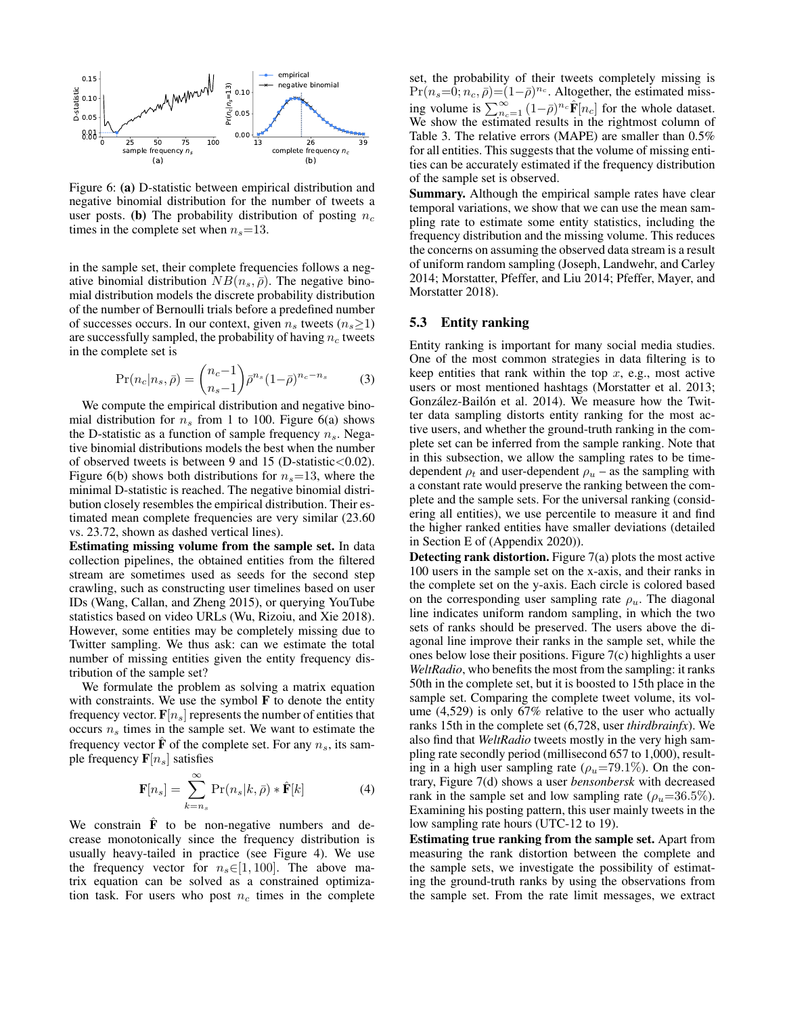

Figure 6: (a) D-statistic between empirical distribution and negative binomial distribution for the number of tweets a user posts. (b) The probability distribution of posting  $n_c$ times in the complete set when  $n_s$ =13.

in the sample set, their complete frequencies follows a negative binomial distribution  $NB(n_s, \bar{\rho})$ . The negative binomial distribution models the discrete probability distribution of the number of Bernoulli trials before a predefined number of successes occurs. In our context, given  $n_s$  tweets  $(n_s \geq 1)$ are successfully sampled, the probability of having  $n_c$  tweets in the complete set is

$$
\Pr(n_c|n_s,\bar{\rho}) = \binom{n_c-1}{n_s-1} \bar{\rho}^{n_s} (1-\bar{\rho})^{n_c-n_s}
$$
 (3)

We compute the empirical distribution and negative binomial distribution for  $n_s$  from 1 to 100. Figure 6(a) shows the D-statistic as a function of sample frequency  $n_s$ . Negative binomial distributions models the best when the number of observed tweets is between 9 and 15 (D-statistic  $< 0.02$ ). Figure 6(b) shows both distributions for  $n<sub>s</sub>=13$ , where the minimal D-statistic is reached. The negative binomial distribution closely resembles the empirical distribution. Their estimated mean complete frequencies are very similar (23.60 vs. 23.72, shown as dashed vertical lines).

Estimating missing volume from the sample set. In data collection pipelines, the obtained entities from the filtered stream are sometimes used as seeds for the second step crawling, such as constructing user timelines based on user IDs (Wang, Callan, and Zheng 2015), or querying YouTube statistics based on video URLs (Wu, Rizoiu, and Xie 2018). However, some entities may be completely missing due to Twitter sampling. We thus ask: can we estimate the total number of missing entities given the entity frequency distribution of the sample set?

We formulate the problem as solving a matrix equation with constraints. We use the symbol  $F$  to denote the entity frequency vector.  $\mathbf{F}[n_s]$  represents the number of entities that occurs  $n<sub>s</sub>$  times in the sample set. We want to estimate the frequency vector **F** of the complete set. For any  $n_s$ , its sample frequency  $\mathbf{F}[n_s]$  satisfies

$$
\mathbf{F}[n_s] = \sum_{k=n_s}^{\infty} \Pr(n_s|k, \bar{\rho}) \ast \hat{\mathbf{F}}[k] \tag{4}
$$

We constrain  $\vec{F}$  to be non-negative numbers and decrease monotonically since the frequency distribution is usually heavy-tailed in practice (see Figure 4). We use the frequency vector for  $n_s \in [1, 100]$ . The above matrix equation can be solved as a constrained optimization task. For users who post  $n_c$  times in the complete set, the probability of their tweets completely missing is  $Pr(n_s=0; n_c, \bar{\rho}) = (1-\bar{\rho})^{n_c}$ . Altogether, the estimated missing volume is  $\sum_{n_c=1}^{\infty} (1-\bar{\rho})^{n_c} \hat{\mathbf{F}}[n_c]$  for the whole dataset. We show the estimated results in the rightmost column of Table 3. The relative errors (MAPE) are smaller than 0.5% for all entities. This suggests that the volume of missing entities can be accurately estimated if the frequency distribution of the sample set is observed.

Summary. Although the empirical sample rates have clear temporal variations, we show that we can use the mean sampling rate to estimate some entity statistics, including the frequency distribution and the missing volume. This reduces the concerns on assuming the observed data stream is a result of uniform random sampling (Joseph, Landwehr, and Carley 2014; Morstatter, Pfeffer, and Liu 2014; Pfeffer, Mayer, and Morstatter 2018).

## 5.3 Entity ranking

Entity ranking is important for many social media studies. One of the most common strategies in data filtering is to keep entities that rank within the top  $x$ , e.g., most active users or most mentioned hashtags (Morstatter et al. 2013; González-Bailón et al. 2014). We measure how the Twitter data sampling distorts entity ranking for the most active users, and whether the ground-truth ranking in the complete set can be inferred from the sample ranking. Note that in this subsection, we allow the sampling rates to be timedependent  $\rho_t$  and user-dependent  $\rho_u$  – as the sampling with a constant rate would preserve the ranking between the complete and the sample sets. For the universal ranking (considering all entities), we use percentile to measure it and find the higher ranked entities have smaller deviations (detailed in Section E of (Appendix 2020)).

Detecting rank distortion. Figure 7(a) plots the most active 100 users in the sample set on the x-axis, and their ranks in the complete set on the y-axis. Each circle is colored based on the corresponding user sampling rate  $\rho_u$ . The diagonal line indicates uniform random sampling, in which the two sets of ranks should be preserved. The users above the diagonal line improve their ranks in the sample set, while the ones below lose their positions. Figure 7(c) highlights a user *WeltRadio*, who benefits the most from the sampling: it ranks 50th in the complete set, but it is boosted to 15th place in the sample set. Comparing the complete tweet volume, its volume (4,529) is only 67% relative to the user who actually ranks 15th in the complete set (6,728, user *thirdbrainfx*). We also find that *WeltRadio* tweets mostly in the very high sampling rate secondly period (millisecond 657 to 1,000), resulting in a high user sampling rate ( $\rho_u$ =79.1%). On the contrary, Figure 7(d) shows a user *bensonbersk* with decreased rank in the sample set and low sampling rate ( $\rho_u$ =36.5%). Examining his posting pattern, this user mainly tweets in the low sampling rate hours (UTC-12 to 19).

Estimating true ranking from the sample set. Apart from measuring the rank distortion between the complete and the sample sets, we investigate the possibility of estimating the ground-truth ranks by using the observations from the sample set. From the rate limit messages, we extract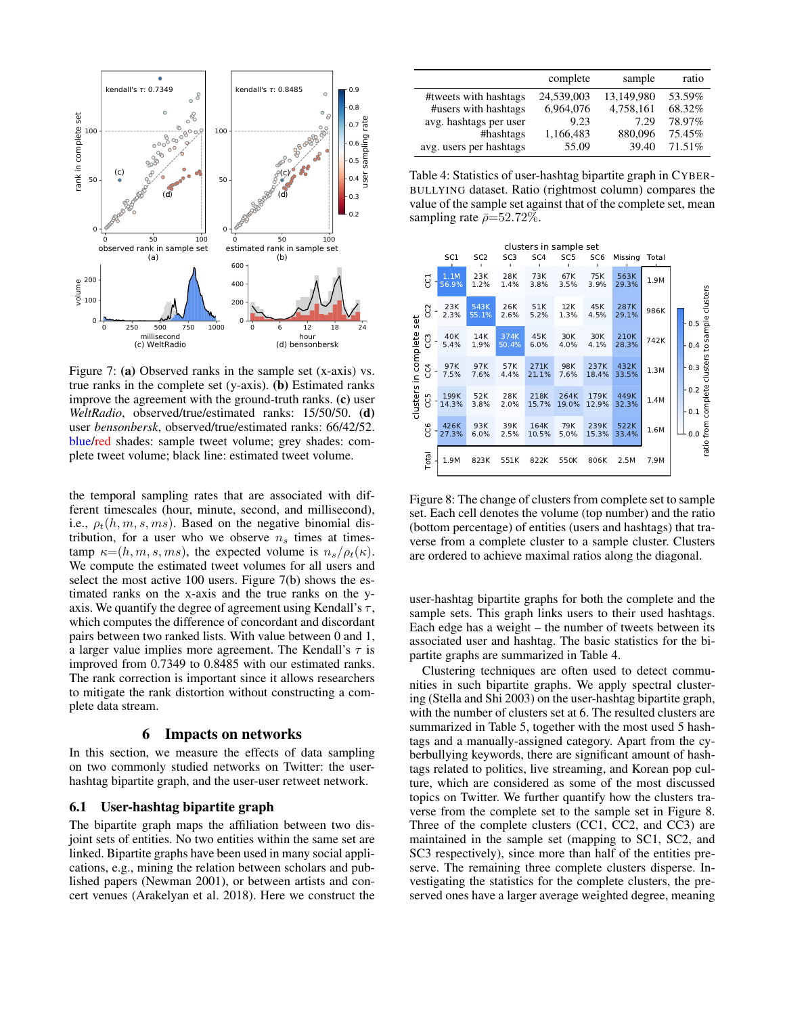

Figure 7: (a) Observed ranks in the sample set (x-axis) vs. true ranks in the complete set (y-axis). (b) Estimated ranks improve the agreement with the ground-truth ranks. (c) user *WeltRadio*, observed/true/estimated ranks: 15/50/50. (d) user *bensonbersk*, observed/true/estimated ranks: 66/42/52. blue/red shades: sample tweet volume; grey shades: complete tweet volume; black line: estimated tweet volume.

the temporal sampling rates that are associated with different timescales (hour, minute, second, and millisecond), i.e.,  $\rho_t(h, m, s, ms)$ . Based on the negative binomial distribution, for a user who we observe  $n<sub>s</sub>$  times at timestamp  $\kappa = (h, m, s, ms)$ , the expected volume is  $n_s/\rho_t(\kappa)$ . We compute the estimated tweet volumes for all users and select the most active 100 users. Figure 7(b) shows the estimated ranks on the x-axis and the true ranks on the yaxis. We quantify the degree of agreement using Kendall's  $\tau$ , which computes the difference of concordant and discordant pairs between two ranked lists. With value between 0 and 1, a larger value implies more agreement. The Kendall's  $\tau$  is improved from 0.7349 to 0.8485 with our estimated ranks. The rank correction is important since it allows researchers to mitigate the rank distortion without constructing a complete data stream.

#### 6 Impacts on networks

In this section, we measure the effects of data sampling on two commonly studied networks on Twitter: the userhashtag bipartite graph, and the user-user retweet network.

#### 6.1 User-hashtag bipartite graph

The bipartite graph maps the affiliation between two disjoint sets of entities. No two entities within the same set are linked. Bipartite graphs have been used in many social applications, e.g., mining the relation between scholars and published papers (Newman 2001), or between artists and concert venues (Arakelyan et al. 2018). Here we construct the

|                         | complete   | sample     | ratio  |
|-------------------------|------------|------------|--------|
| #tweets with hashtags   | 24,539,003 | 13,149,980 | 53.59% |
| #users with hashtags    | 6,964,076  | 4,758,161  | 68.32% |
| avg. hashtags per user  | 9.23       | 7.29       | 78.97% |
| #hashtags               | 1,166,483  | 880,096    | 75.45% |
| avg. users per hashtags | 55.09      | 39.40      | 71.51% |

Table 4: Statistics of user-hashtag bipartite graph in CYBER-BULLYING dataset. Ratio (rightmost column) compares the value of the sample set against that of the complete set, mean sampling rate  $\bar{\rho}$ =52.72%.

|             | clusters in sample set |                 |                      |                      |                 |                 |                 |               |      |  |                        |
|-------------|------------------------|-----------------|----------------------|----------------------|-----------------|-----------------|-----------------|---------------|------|--|------------------------|
|             |                        | SC <sub>1</sub> | SC <sub>2</sub><br>п | SC <sub>3</sub><br>٠ | SC <sub>4</sub> | SC <sub>5</sub> | SC <sub>6</sub> | Missing Total |      |  |                        |
|             | g                      | 1.1M<br>56.9%   | 23K<br>1.2%          | 28K<br>1.4%          | 73K<br>3.8%     | 67K<br>3.5%     | 75K<br>3.9%     | 563K<br>29.3% | 1.9M |  |                        |
| set         | g                      | 23K<br>2.3%     | 543K<br>55.1%        | 26K<br>2.6%          | 51K<br>5.2%     | 12K<br>1.3%     | 45K<br>4.5%     | 287K<br>29.1% | 986K |  | sample clusters<br>0.5 |
|             | CC <sub>3</sub>        | 40K<br>5.4%     | 14K<br>1.9%          | 374K<br>50.4%        | 45K<br>6.0%     | 30K<br>4.0%     | 30K<br>4.1%     | 210K<br>28.3% | 742K |  | 0.4<br>g               |
| in complete | CC <sub>4</sub>        | 97K<br>7.5%     | 97K<br>7.6%          | 57K<br>4.4%          | 271K<br>21.1%   | 98K<br>7.6%     | 237K<br>18.4%   | 432K<br>33.5% | 1.3M |  | clusters<br>0.3        |
| clusters    | C5                     | 199K<br>14.3%   | 52K<br>3.8%          | 28K<br>2.0%          | 218K<br>15.7%   | 264K<br>19.0%   | 179K<br>12.9%   | 449K<br>32.3% | 1.4M |  | complete<br>0.2<br>0.1 |
|             | ပိပ                    | 426K<br>27.3%   | 93K<br>6.0%          | 39K<br>2.5%          | 164K<br>10.5%   | 79K<br>5.0%     | 239K<br>15.3%   | 522K<br>33.4% | 1.6M |  | from<br>0.0            |
|             | Total                  | 1.9M            | 823K                 | 551K                 | 822K            | 550K            | 806K            | 2.5M          | 7.9M |  | ratio                  |

Figure 8: The change of clusters from complete set to sample set. Each cell denotes the volume (top number) and the ratio (bottom percentage) of entities (users and hashtags) that traverse from a complete cluster to a sample cluster. Clusters are ordered to achieve maximal ratios along the diagonal.

user-hashtag bipartite graphs for both the complete and the sample sets. This graph links users to their used hashtags. Each edge has a weight – the number of tweets between its associated user and hashtag. The basic statistics for the bipartite graphs are summarized in Table 4.

Clustering techniques are often used to detect communities in such bipartite graphs. We apply spectral clustering (Stella and Shi 2003) on the user-hashtag bipartite graph, with the number of clusters set at 6. The resulted clusters are summarized in Table 5, together with the most used 5 hashtags and a manually-assigned category. Apart from the cyberbullying keywords, there are significant amount of hashtags related to politics, live streaming, and Korean pop culture, which are considered as some of the most discussed topics on Twitter. We further quantify how the clusters traverse from the complete set to the sample set in Figure 8. Three of the complete clusters (CC1, CC2, and CC3) are maintained in the sample set (mapping to SC1, SC2, and SC3 respectively), since more than half of the entities preserve. The remaining three complete clusters disperse. Investigating the statistics for the complete clusters, the preserved ones have a larger average weighted degree, meaning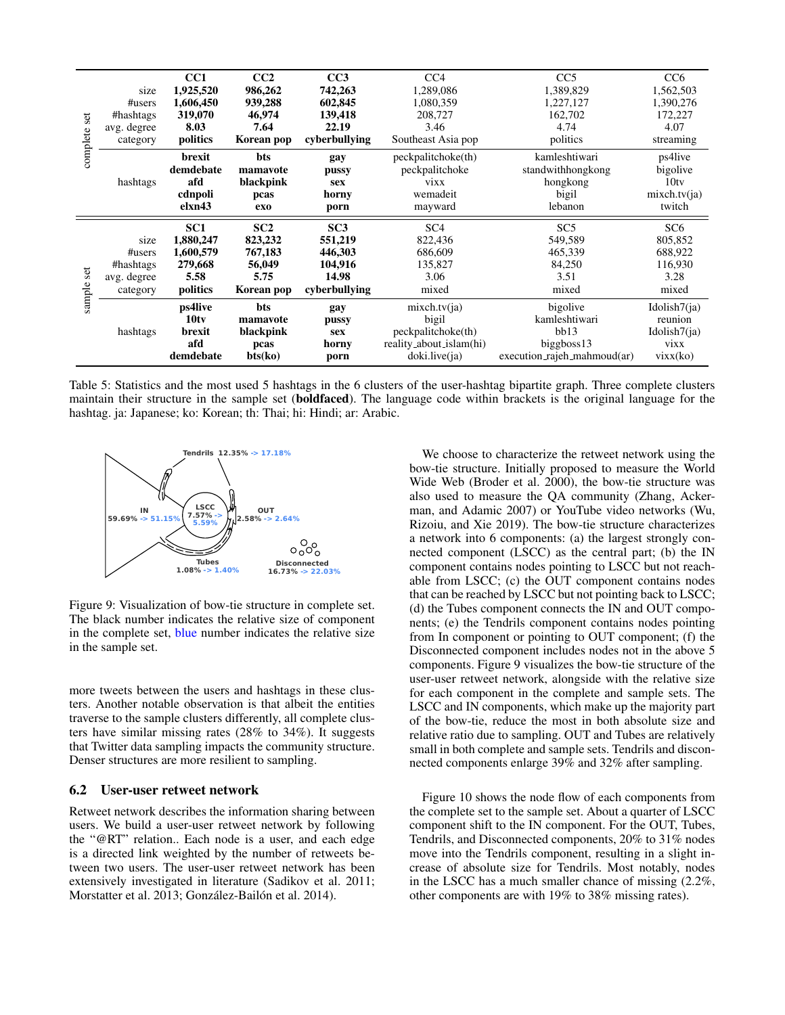| set<br>complete | size<br>#users<br>#hashtags<br>avg. degree<br>category | CC <sub>1</sub><br>1,925,520<br>1,606,450<br>319,070<br>8.03<br>politics | CC2<br>986,262<br>939,288<br>46.974<br>7.64<br>Korean pop             | CC3<br>742,263<br>602,845<br>139,418<br>22.19<br>cyberbullying | CC <sub>4</sub><br>1,289,086<br>1,080,359<br>208,727<br>3.46<br>Southeast Asia pop      | CC <sub>5</sub><br>1,389,829<br>1,227,127<br>162,702<br>4.74<br>politics           | CC <sub>6</sub><br>1,562,503<br>1,390,276<br>172,227<br>4.07<br>streaming |
|-----------------|--------------------------------------------------------|--------------------------------------------------------------------------|-----------------------------------------------------------------------|----------------------------------------------------------------|-----------------------------------------------------------------------------------------|------------------------------------------------------------------------------------|---------------------------------------------------------------------------|
|                 | hashtags                                               | brexit<br>demdebate<br>afd<br>cdnpoli<br>elxn43                          | bts<br>mamayote<br>blackpink<br>pcas<br>exo                           | gay<br>pussy<br>sex<br>horny<br>porn                           | peckpalitchoke(th)<br>peckpalitchoke<br>vixx<br>wemadeit<br>mayward                     | kamleshtiwari<br>standwithhongkong<br>hongkong<br>bigil<br>lebanon                 | ps4live<br>bigolive<br>$10$ tv<br>mixch.tv(ja)<br>twitch                  |
| sample set      | size<br>#users<br>#hashtags<br>avg. degree<br>category | SC <sub>1</sub><br>1,880,247<br>1,600,579<br>279,668<br>5.58<br>politics | SC <sub>2</sub><br>823,232<br>767,183<br>56,049<br>5.75<br>Korean pop | SC3<br>551,219<br>446,303<br>104,916<br>14.98<br>cyberbullying | SC <sub>4</sub><br>822,436<br>686,609<br>135,827<br>3.06<br>mixed                       | SC <sub>5</sub><br>549,589<br>465,339<br>84,250<br>3.51<br>mixed                   | SC <sub>6</sub><br>805,852<br>688,922<br>116,930<br>3.28<br>mixed         |
|                 | hashtags                                               | ps4live<br>$10$ ty<br>brexit<br>afd<br>demdebate                         | bts<br>mamayote<br>blackpink<br>pcas<br>bts(ko)                       | gay<br>pussy<br>sex<br>horny<br>porn                           | mixch.tv(ja)<br>bigil<br>peckpalitchoke(th)<br>reality_about_islam(hi)<br>doki.live(ia) | bigolive<br>kamleshtiwari<br>bb13<br>biggboss13<br>$execution\_raich\_mahmoud(ar)$ | Idolish7(ia)<br>reunion<br>Idolish7(ia)<br>vixx<br>vixx(ko)               |

Table 5: Statistics and the most used 5 hashtags in the 6 clusters of the user-hashtag bipartite graph. Three complete clusters maintain their structure in the sample set (boldfaced). The language code within brackets is the original language for the hashtag. ja: Japanese; ko: Korean; th: Thai; hi: Hindi; ar: Arabic.



Figure 9: Visualization of bow-tie structure in complete set. The black number indicates the relative size of component in the complete set, blue number indicates the relative size in the sample set.

more tweets between the users and hashtags in these clusters. Another notable observation is that albeit the entities traverse to the sample clusters differently, all complete clusters have similar missing rates (28% to 34%). It suggests that Twitter data sampling impacts the community structure. Denser structures are more resilient to sampling.

#### 6.2 User-user retweet network

Retweet network describes the information sharing between users. We build a user-user retweet network by following the "@RT" relation.. Each node is a user, and each edge is a directed link weighted by the number of retweets between two users. The user-user retweet network has been extensively investigated in literature (Sadikov et al. 2011; Morstatter et al. 2013; González-Bailón et al. 2014).

We choose to characterize the retweet network using the bow-tie structure. Initially proposed to measure the World Wide Web (Broder et al. 2000), the bow-tie structure was also used to measure the QA community (Zhang, Ackerman, and Adamic 2007) or YouTube video networks (Wu, Rizoiu, and Xie 2019). The bow-tie structure characterizes a network into 6 components: (a) the largest strongly connected component (LSCC) as the central part; (b) the IN component contains nodes pointing to LSCC but not reachable from LSCC; (c) the OUT component contains nodes that can be reached by LSCC but not pointing back to LSCC; (d) the Tubes component connects the IN and OUT components; (e) the Tendrils component contains nodes pointing from In component or pointing to OUT component; (f) the Disconnected component includes nodes not in the above 5 components. Figure 9 visualizes the bow-tie structure of the user-user retweet network, alongside with the relative size for each component in the complete and sample sets. The LSCC and IN components, which make up the majority part of the bow-tie, reduce the most in both absolute size and relative ratio due to sampling. OUT and Tubes are relatively small in both complete and sample sets. Tendrils and disconnected components enlarge 39% and 32% after sampling.

Figure 10 shows the node flow of each components from the complete set to the sample set. About a quarter of LSCC component shift to the IN component. For the OUT, Tubes, Tendrils, and Disconnected components, 20% to 31% nodes move into the Tendrils component, resulting in a slight increase of absolute size for Tendrils. Most notably, nodes in the LSCC has a much smaller chance of missing (2.2%, other components are with 19% to 38% missing rates).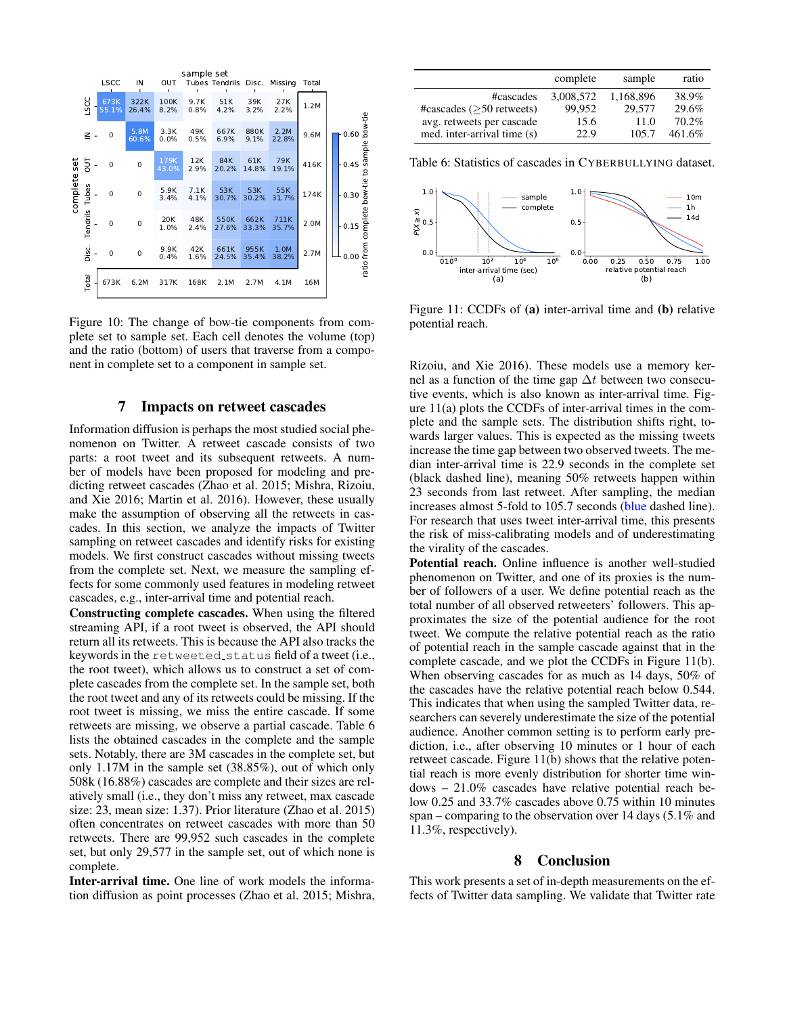

Figure 10: The change of bow-tie components from complete set to sample set. Each cell denotes the volume (top) and the ratio (bottom) of users that traverse from a component in complete set to a component in sample set.

### 7 Impacts on retweet cascades

Information diffusion is perhaps the most studied social phenomenon on Twitter. A retweet cascade consists of two parts: a root tweet and its subsequent retweets. A number of models have been proposed for modeling and predicting retweet cascades (Zhao et al. 2015; Mishra, Rizoiu, and Xie 2016; Martin et al. 2016). However, these usually make the assumption of observing all the retweets in cascades. In this section, we analyze the impacts of Twitter sampling on retweet cascades and identify risks for existing models. We first construct cascades without missing tweets from the complete set. Next, we measure the sampling effects for some commonly used features in modeling retweet cascades, e.g., inter-arrival time and potential reach.

Constructing complete cascades. When using the filtered streaming API, if a root tweet is observed, the API should return all its retweets. This is because the API also tracks the keywords in the retweeted status field of a tweet (i.e., the root tweet), which allows us to construct a set of complete cascades from the complete set. In the sample set, both the root tweet and any of its retweets could be missing. If the root tweet is missing, we miss the entire cascade. If some retweets are missing, we observe a partial cascade. Table 6 lists the obtained cascades in the complete and the sample sets. Notably, there are 3M cascades in the complete set, but only 1.17M in the sample set (38.85%), out of which only 508k (16.88%) cascades are complete and their sizes are relatively small (i.e., they don't miss any retweet, max cascade size: 23, mean size: 1.37). Prior literature (Zhao et al. 2015) often concentrates on retweet cascades with more than 50 retweets. There are 99,952 such cascades in the complete set, but only 29,577 in the sample set, out of which none is complete.

Inter-arrival time. One line of work models the information diffusion as point processes (Zhao et al. 2015; Mishra,

|                             | complete  | sample    | ratio  |
|-----------------------------|-----------|-----------|--------|
| #cascades                   | 3.008.572 | 1,168,896 | 38.9%  |
| #cascades $($ >50 retweets) | 99.952    | 29,577    | 29.6%  |
| avg. retweets per cascade   | 15.6      | 11.0      | 70.2%  |
| med. inter-arrival time (s) | 22.9      | 105.7     | 461.6% |

Table 6: Statistics of cascades in CYBERBULLYING dataset.



Figure 11: CCDFs of (a) inter-arrival time and (b) relative potential reach.

Rizoiu, and Xie 2016). These models use a memory kernel as a function of the time gap  $\Delta t$  between two consecutive events, which is also known as inter-arrival time. Figure 11(a) plots the CCDFs of inter-arrival times in the complete and the sample sets. The distribution shifts right, towards larger values. This is expected as the missing tweets increase the time gap between two observed tweets. The median inter-arrival time is 22.9 seconds in the complete set (black dashed line), meaning 50% retweets happen within 23 seconds from last retweet. After sampling, the median increases almost 5-fold to 105.7 seconds (blue dashed line). For research that uses tweet inter-arrival time, this presents the risk of miss-calibrating models and of underestimating the virality of the cascades.

Potential reach. Online influence is another well-studied phenomenon on Twitter, and one of its proxies is the number of followers of a user. We define potential reach as the total number of all observed retweeters' followers. This approximates the size of the potential audience for the root tweet. We compute the relative potential reach as the ratio of potential reach in the sample cascade against that in the complete cascade, and we plot the CCDFs in Figure 11(b). When observing cascades for as much as 14 days, 50% of the cascades have the relative potential reach below 0.544. This indicates that when using the sampled Twitter data, researchers can severely underestimate the size of the potential audience. Another common setting is to perform early prediction, i.e., after observing 10 minutes or 1 hour of each retweet cascade. Figure 11(b) shows that the relative potential reach is more evenly distribution for shorter time windows – 21.0% cascades have relative potential reach below 0.25 and 33.7% cascades above 0.75 within 10 minutes span – comparing to the observation over 14 days (5.1% and 11.3%, respectively).

#### 8 Conclusion

This work presents a set of in-depth measurements on the effects of Twitter data sampling. We validate that Twitter rate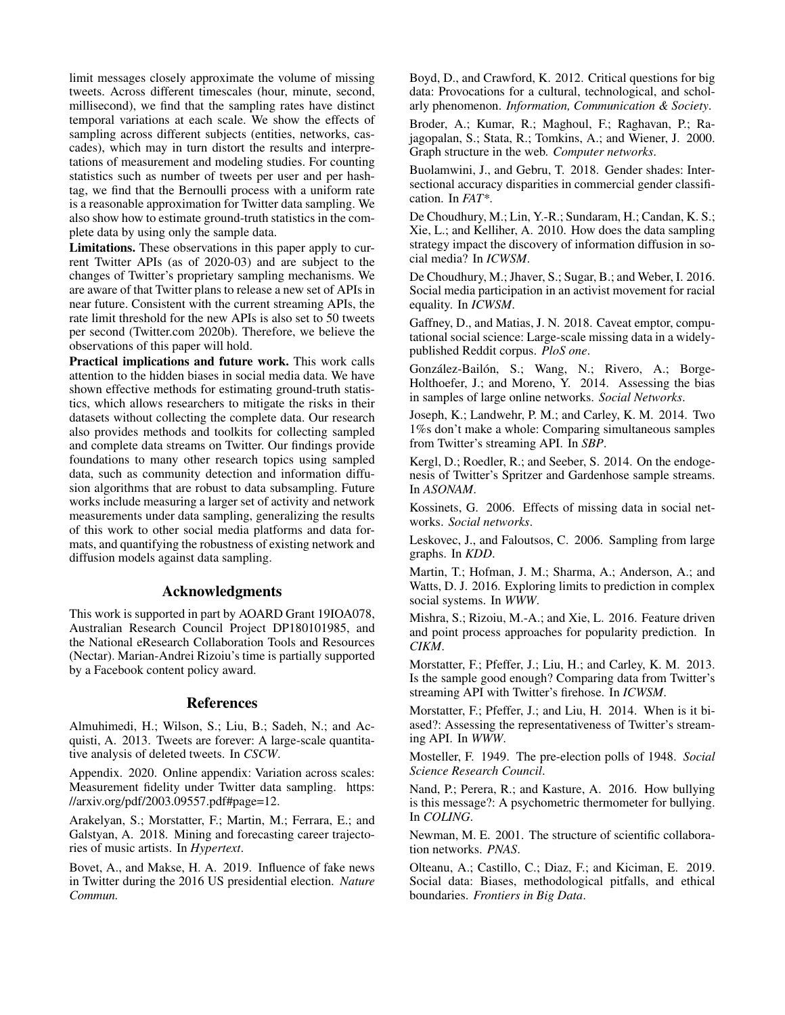limit messages closely approximate the volume of missing tweets. Across different timescales (hour, minute, second, millisecond), we find that the sampling rates have distinct temporal variations at each scale. We show the effects of sampling across different subjects (entities, networks, cascades), which may in turn distort the results and interpretations of measurement and modeling studies. For counting statistics such as number of tweets per user and per hashtag, we find that the Bernoulli process with a uniform rate is a reasonable approximation for Twitter data sampling. We also show how to estimate ground-truth statistics in the complete data by using only the sample data.

Limitations. These observations in this paper apply to current Twitter APIs (as of 2020-03) and are subject to the changes of Twitter's proprietary sampling mechanisms. We are aware of that Twitter plans to release a new set of APIs in near future. Consistent with the current streaming APIs, the rate limit threshold for the new APIs is also set to 50 tweets per second (Twitter.com 2020b). Therefore, we believe the observations of this paper will hold.

Practical implications and future work. This work calls attention to the hidden biases in social media data. We have shown effective methods for estimating ground-truth statistics, which allows researchers to mitigate the risks in their datasets without collecting the complete data. Our research also provides methods and toolkits for collecting sampled and complete data streams on Twitter. Our findings provide foundations to many other research topics using sampled data, such as community detection and information diffusion algorithms that are robust to data subsampling. Future works include measuring a larger set of activity and network measurements under data sampling, generalizing the results of this work to other social media platforms and data formats, and quantifying the robustness of existing network and diffusion models against data sampling.

# Acknowledgments

This work is supported in part by AOARD Grant 19IOA078, Australian Research Council Project DP180101985, and the National eResearch Collaboration Tools and Resources (Nectar). Marian-Andrei Rizoiu's time is partially supported by a Facebook content policy award.

### References

Almuhimedi, H.; Wilson, S.; Liu, B.; Sadeh, N.; and Acquisti, A. 2013. Tweets are forever: A large-scale quantitative analysis of deleted tweets. In *CSCW*.

Appendix. 2020. Online appendix: Variation across scales: Measurement fidelity under Twitter data sampling. https: //arxiv.org/pdf/2003.09557.pdf#page=12.

Arakelyan, S.; Morstatter, F.; Martin, M.; Ferrara, E.; and Galstyan, A. 2018. Mining and forecasting career trajectories of music artists. In *Hypertext*.

Bovet, A., and Makse, H. A. 2019. Influence of fake news in Twitter during the 2016 US presidential election. *Nature Commun.*

Boyd, D., and Crawford, K. 2012. Critical questions for big data: Provocations for a cultural, technological, and scholarly phenomenon. *Information, Communication & Society*.

Broder, A.; Kumar, R.; Maghoul, F.; Raghavan, P.; Rajagopalan, S.; Stata, R.; Tomkins, A.; and Wiener, J. 2000. Graph structure in the web. *Computer networks*.

Buolamwini, J., and Gebru, T. 2018. Gender shades: Intersectional accuracy disparities in commercial gender classification. In *FAT\**.

De Choudhury, M.; Lin, Y.-R.; Sundaram, H.; Candan, K. S.; Xie, L.; and Kelliher, A. 2010. How does the data sampling strategy impact the discovery of information diffusion in social media? In *ICWSM*.

De Choudhury, M.; Jhaver, S.; Sugar, B.; and Weber, I. 2016. Social media participation in an activist movement for racial equality. In *ICWSM*.

Gaffney, D., and Matias, J. N. 2018. Caveat emptor, computational social science: Large-scale missing data in a widelypublished Reddit corpus. *PloS one*.

González-Bailón, S.; Wang, N.; Rivero, A.; Borge-Holthoefer, J.; and Moreno, Y. 2014. Assessing the bias in samples of large online networks. *Social Networks*.

Joseph, K.; Landwehr, P. M.; and Carley, K. M. 2014. Two 1%s don't make a whole: Comparing simultaneous samples from Twitter's streaming API. In *SBP*.

Kergl, D.; Roedler, R.; and Seeber, S. 2014. On the endogenesis of Twitter's Spritzer and Gardenhose sample streams. In *ASONAM*.

Kossinets, G. 2006. Effects of missing data in social networks. *Social networks*.

Leskovec, J., and Faloutsos, C. 2006. Sampling from large graphs. In *KDD*.

Martin, T.; Hofman, J. M.; Sharma, A.; Anderson, A.; and Watts, D. J. 2016. Exploring limits to prediction in complex social systems. In *WWW*.

Mishra, S.; Rizoiu, M.-A.; and Xie, L. 2016. Feature driven and point process approaches for popularity prediction. In *CIKM*.

Morstatter, F.; Pfeffer, J.; Liu, H.; and Carley, K. M. 2013. Is the sample good enough? Comparing data from Twitter's streaming API with Twitter's firehose. In *ICWSM*.

Morstatter, F.; Pfeffer, J.; and Liu, H. 2014. When is it biased?: Assessing the representativeness of Twitter's streaming API. In *WWW*.

Mosteller, F. 1949. The pre-election polls of 1948. *Social Science Research Council*.

Nand, P.; Perera, R.; and Kasture, A. 2016. How bullying is this message?: A psychometric thermometer for bullying. In *COLING*.

Newman, M. E. 2001. The structure of scientific collaboration networks. *PNAS*.

Olteanu, A.; Castillo, C.; Diaz, F.; and Kiciman, E. 2019. Social data: Biases, methodological pitfalls, and ethical boundaries. *Frontiers in Big Data*.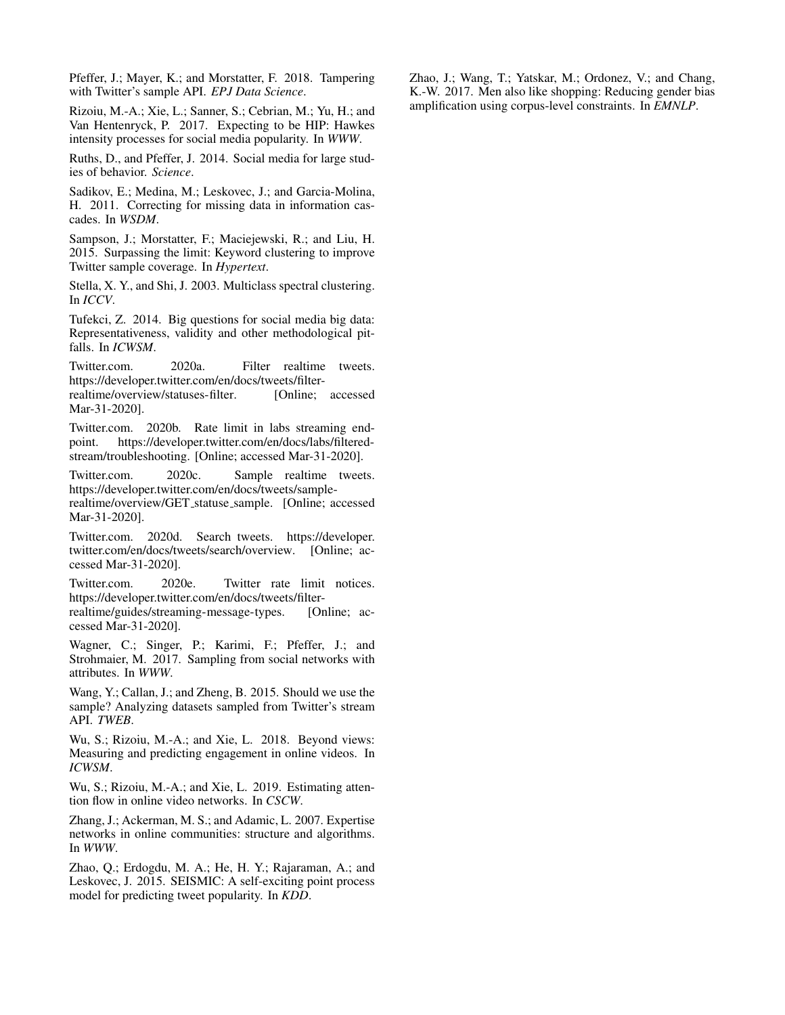Pfeffer, J.; Mayer, K.; and Morstatter, F. 2018. Tampering with Twitter's sample API. *EPJ Data Science*.

Rizoiu, M.-A.; Xie, L.; Sanner, S.; Cebrian, M.; Yu, H.; and Van Hentenryck, P. 2017. Expecting to be HIP: Hawkes intensity processes for social media popularity. In *WWW*.

Ruths, D., and Pfeffer, J. 2014. Social media for large studies of behavior. *Science*.

Sadikov, E.; Medina, M.; Leskovec, J.; and Garcia-Molina, H. 2011. Correcting for missing data in information cascades. In *WSDM*.

Sampson, J.; Morstatter, F.; Maciejewski, R.; and Liu, H. 2015. Surpassing the limit: Keyword clustering to improve Twitter sample coverage. In *Hypertext*.

Stella, X. Y., and Shi, J. 2003. Multiclass spectral clustering. In *ICCV*.

Tufekci, Z. 2014. Big questions for social media big data: Representativeness, validity and other methodological pitfalls. In *ICWSM*.

Twitter.com. 2020a. Filter realtime tweets. https://developer.twitter.com/en/docs/tweets/filter-

realtime/overview/statuses-filter. [Online; accessed Mar-31-2020].

Twitter.com. 2020b. Rate limit in labs streaming endpoint. https://developer.twitter.com/en/docs/labs/filteredstream/troubleshooting. [Online; accessed Mar-31-2020].

Twitter.com. 2020c. Sample realtime tweets. https://developer.twitter.com/en/docs/tweets/sample-

realtime/overview/GET statuse sample. [Online; accessed Mar-31-2020].

Twitter.com. 2020d. Search tweets. https://developer. twitter.com/en/docs/tweets/search/overview. [Online; accessed Mar-31-2020].

Twitter.com. 2020e. Twitter rate limit notices. https://developer.twitter.com/en/docs/tweets/filter-

realtime/guides/streaming-message-types. [Online; accessed Mar-31-2020].

Wagner, C.; Singer, P.; Karimi, F.; Pfeffer, J.; and Strohmaier, M. 2017. Sampling from social networks with attributes. In *WWW*.

Wang, Y.; Callan, J.; and Zheng, B. 2015. Should we use the sample? Analyzing datasets sampled from Twitter's stream API. *TWEB*.

Wu, S.; Rizoiu, M.-A.; and Xie, L. 2018. Beyond views: Measuring and predicting engagement in online videos. In *ICWSM*.

Wu, S.; Rizoiu, M.-A.; and Xie, L. 2019. Estimating attention flow in online video networks. In *CSCW*.

Zhang, J.; Ackerman, M. S.; and Adamic, L. 2007. Expertise networks in online communities: structure and algorithms. In *WWW*.

Zhao, Q.; Erdogdu, M. A.; He, H. Y.; Rajaraman, A.; and Leskovec, J. 2015. SEISMIC: A self-exciting point process model for predicting tweet popularity. In *KDD*.

Zhao, J.; Wang, T.; Yatskar, M.; Ordonez, V.; and Chang, K.-W. 2017. Men also like shopping: Reducing gender bias amplification using corpus-level constraints. In *EMNLP*.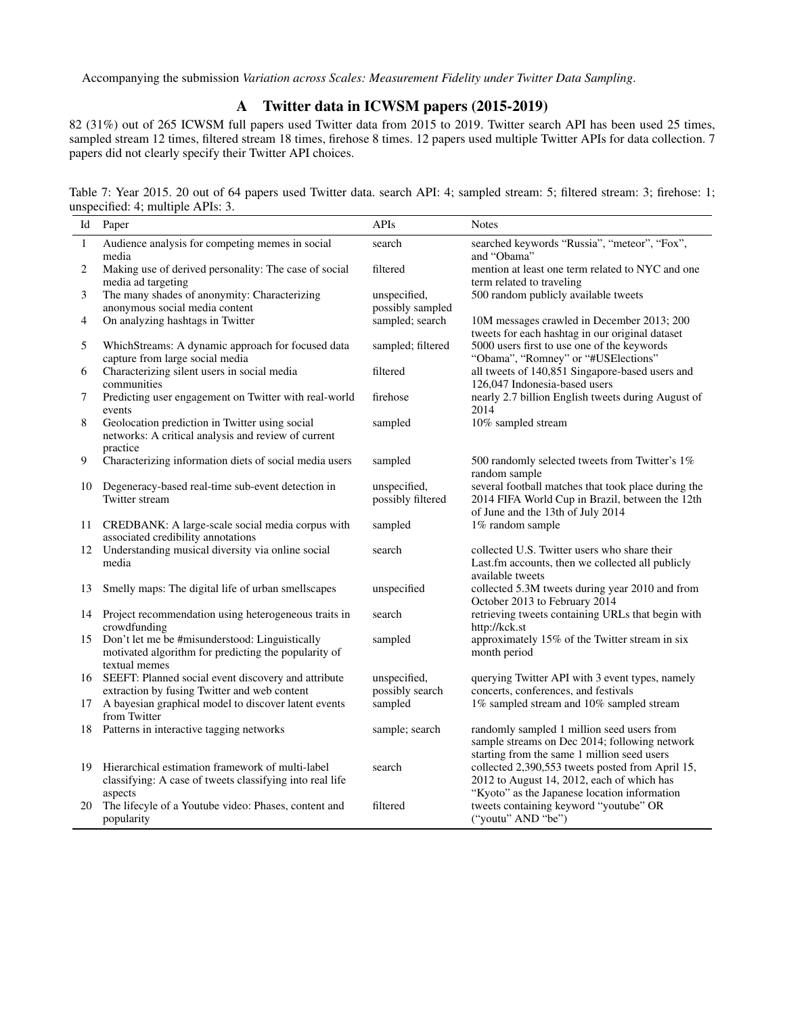Accompanying the submission *Variation across Scales: Measurement Fidelity under Twitter Data Sampling*.

# A Twitter data in ICWSM papers (2015-2019)

82 (31%) out of 265 ICWSM full papers used Twitter data from 2015 to 2019. Twitter search API has been used 25 times, sampled stream 12 times, filtered stream 18 times, firehose 8 times. 12 papers used multiple Twitter APIs for data collection. 7 papers did not clearly specify their Twitter API choices.

Table 7: Year 2015. 20 out of 64 papers used Twitter data. search API: 4; sampled stream: 5; filtered stream: 3; firehose: 1; unspecified: 4; multiple APIs: 3.

| Id           | Paper                                                                                                                   | <b>APIs</b>                       | <b>Notes</b>                                                                                                                                   |
|--------------|-------------------------------------------------------------------------------------------------------------------------|-----------------------------------|------------------------------------------------------------------------------------------------------------------------------------------------|
| $\mathbf{1}$ | Audience analysis for competing memes in social<br>media                                                                | search                            | searched keywords "Russia", "meteor", "Fox",<br>and "Obama"                                                                                    |
| 2            | Making use of derived personality: The case of social<br>media ad targeting                                             | filtered                          | mention at least one term related to NYC and one<br>term related to traveling                                                                  |
| 3            | The many shades of anonymity: Characterizing<br>anonymous social media content                                          | unspecified,<br>possibly sampled  | 500 random publicly available tweets                                                                                                           |
| 4            | On analyzing hashtags in Twitter                                                                                        | sampled; search                   | 10M messages crawled in December 2013; 200<br>tweets for each hashtag in our original dataset                                                  |
| 5            | WhichStreams: A dynamic approach for focused data<br>capture from large social media                                    | sampled; filtered                 | 5000 users first to use one of the keywords<br>"Obama", "Romney" or "#USElections"                                                             |
| 6            | Characterizing silent users in social media<br>communities                                                              | filtered                          | all tweets of 140,851 Singapore-based users and<br>126,047 Indonesia-based users                                                               |
| 7            | Predicting user engagement on Twitter with real-world<br>events                                                         | firehose                          | nearly 2.7 billion English tweets during August of<br>2014                                                                                     |
| 8            | Geolocation prediction in Twitter using social<br>networks: A critical analysis and review of current<br>practice       | sampled                           | 10% sampled stream                                                                                                                             |
| 9            | Characterizing information diets of social media users                                                                  | sampled                           | 500 randomly selected tweets from Twitter's 1%<br>random sample                                                                                |
| 10           | Degeneracy-based real-time sub-event detection in<br>Twitter stream                                                     | unspecified,<br>possibly filtered | several football matches that took place during the<br>2014 FIFA World Cup in Brazil, between the 12th<br>of June and the 13th of July 2014    |
| 11           | CREDBANK: A large-scale social media corpus with<br>associated credibility annotations                                  | sampled                           | 1% random sample                                                                                                                               |
| 12           | Understanding musical diversity via online social<br>media                                                              | search                            | collected U.S. Twitter users who share their<br>Last.fm accounts, then we collected all publicly<br>available tweets                           |
| 13           | Smelly maps: The digital life of urban smellscapes                                                                      | unspecified                       | collected 5.3M tweets during year 2010 and from<br>October 2013 to February 2014                                                               |
| 14           | Project recommendation using heterogeneous traits in<br>crowdfunding                                                    | search                            | retrieving tweets containing URLs that begin with<br>http://kck.st                                                                             |
| 15           | Don't let me be #misunderstood: Linguistically<br>motivated algorithm for predicting the popularity of<br>textual memes | sampled                           | approximately 15% of the Twitter stream in six<br>month period                                                                                 |
| 16           | SEEFT: Planned social event discovery and attribute<br>extraction by fusing Twitter and web content                     | unspecified,<br>possibly search   | querying Twitter API with 3 event types, namely<br>concerts, conferences, and festivals                                                        |
| 17           | A bayesian graphical model to discover latent events<br>from Twitter                                                    | sampled                           | 1% sampled stream and 10% sampled stream                                                                                                       |
| 18           | Patterns in interactive tagging networks                                                                                | sample; search                    | randomly sampled 1 million seed users from<br>sample streams on Dec 2014; following network<br>starting from the same 1 million seed users     |
| 19           | Hierarchical estimation framework of multi-label<br>classifying: A case of tweets classifying into real life<br>aspects | search                            | collected 2,390,553 tweets posted from April 15,<br>2012 to August 14, 2012, each of which has<br>"Kyoto" as the Japanese location information |
| 20           | The lifecyle of a Youtube video: Phases, content and<br>popularity                                                      | filtered                          | tweets containing keyword "youtube" OR<br>("youtu" AND "be")                                                                                   |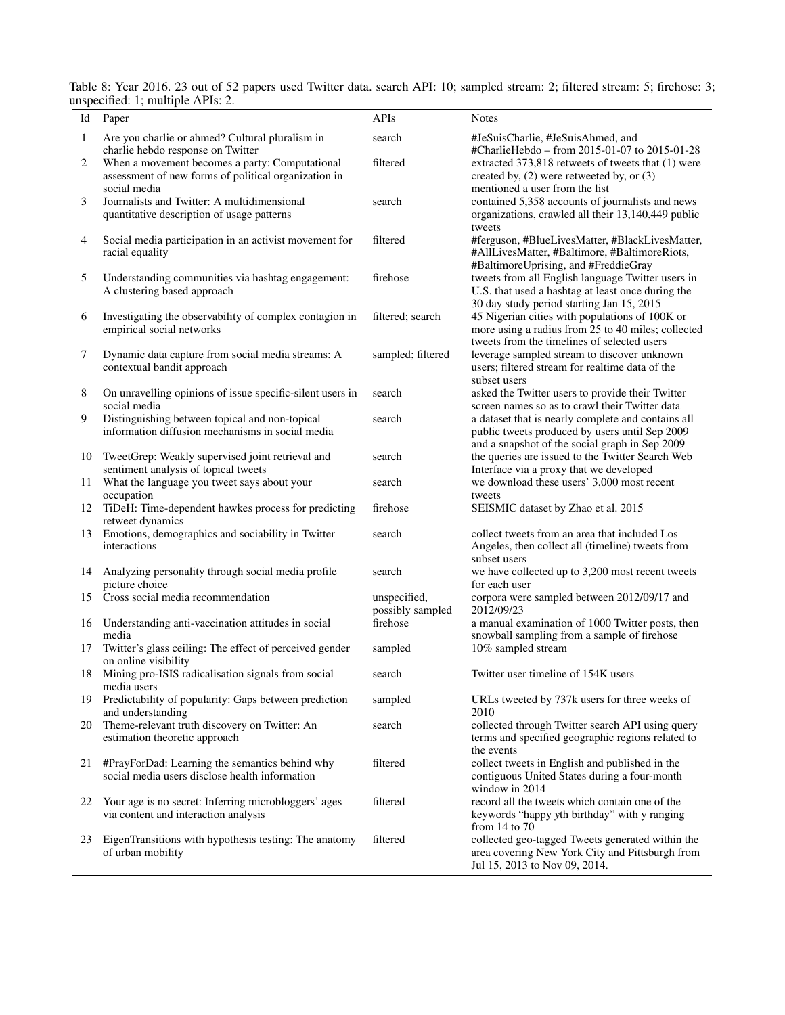|                                   |  |  | Table 8: Year 2016. 23 out of 52 papers used Twitter data. search API: 10; sampled stream: 2; filtered stream: 5; firehose: 3; |
|-----------------------------------|--|--|--------------------------------------------------------------------------------------------------------------------------------|
| unspecified: 1; multiple APIs: 2. |  |  |                                                                                                                                |

| Id       | Paper                                                                                                                         | <b>APIs</b>                      | <b>Notes</b>                                                                                                                                           |
|----------|-------------------------------------------------------------------------------------------------------------------------------|----------------------------------|--------------------------------------------------------------------------------------------------------------------------------------------------------|
| 1        | Are you charlie or ahmed? Cultural pluralism in<br>charlie hebdo response on Twitter                                          | search                           | #JeSuisCharlie, #JeSuisAhmed, and<br>#CharlieHebdo - from 2015-01-07 to 2015-01-28                                                                     |
| 2        | When a movement becomes a party: Computational<br>assessment of new forms of political organization in                        | filtered                         | extracted 373,818 retweets of tweets that (1) were<br>created by, $(2)$ were retweeted by, or $(3)$                                                    |
| 3        | social media<br>Journalists and Twitter: A multidimensional<br>quantitative description of usage patterns                     | search                           | mentioned a user from the list<br>contained 5,358 accounts of journalists and news<br>organizations, crawled all their 13,140,449 public<br>tweets     |
| 4        | Social media participation in an activist movement for<br>racial equality                                                     | filtered                         | #ferguson, #BlueLivesMatter, #BlackLivesMatter,<br>#AllLivesMatter, #Baltimore, #BaltimoreRiots,<br>#BaltimoreUprising, and #FreddieGray               |
| 5        | Understanding communities via hashtag engagement:<br>A clustering based approach                                              | firehose                         | tweets from all English language Twitter users in<br>U.S. that used a hashtag at least once during the<br>30 day study period starting Jan 15, 2015    |
| 6        | Investigating the observability of complex contagion in<br>empirical social networks                                          | filtered; search                 | 45 Nigerian cities with populations of 100K or<br>more using a radius from 25 to 40 miles; collected<br>tweets from the timelines of selected users    |
| 7        | Dynamic data capture from social media streams: A<br>contextual bandit approach                                               | sampled; filtered                | leverage sampled stream to discover unknown<br>users; filtered stream for realtime data of the<br>subset users                                         |
| 8        | On unravelling opinions of issue specific-silent users in<br>social media                                                     | search                           | asked the Twitter users to provide their Twitter<br>screen names so as to crawl their Twitter data                                                     |
| 9        | Distinguishing between topical and non-topical<br>information diffusion mechanisms in social media                            | search                           | a dataset that is nearly complete and contains all<br>public tweets produced by users until Sep 2009<br>and a snapshot of the social graph in Sep 2009 |
| 10       | TweetGrep: Weakly supervised joint retrieval and<br>sentiment analysis of topical tweets                                      | search                           | the queries are issued to the Twitter Search Web<br>Interface via a proxy that we developed                                                            |
| 11       | What the language you tweet says about your<br>occupation                                                                     | search                           | we download these users' 3,000 most recent<br>tweets                                                                                                   |
| 12       | TiDeH: Time-dependent hawkes process for predicting<br>retweet dynamics                                                       | firehose                         | SEISMIC dataset by Zhao et al. 2015                                                                                                                    |
| 13       | Emotions, demographics and sociability in Twitter<br>interactions                                                             | search                           | collect tweets from an area that included Los<br>Angeles, then collect all (timeline) tweets from<br>subset users                                      |
| 14       | Analyzing personality through social media profile<br>picture choice                                                          | search                           | we have collected up to 3,200 most recent tweets<br>for each user                                                                                      |
| 15       | Cross social media recommendation                                                                                             | unspecified,<br>possibly sampled | corpora were sampled between 2012/09/17 and<br>2012/09/23                                                                                              |
| 16       | Understanding anti-vaccination attitudes in social<br>media                                                                   | firehose                         | a manual examination of 1000 Twitter posts, then<br>snowball sampling from a sample of firehose                                                        |
| 17       | Twitter's glass ceiling: The effect of perceived gender<br>on online visibility                                               | sampled                          | 10% sampled stream                                                                                                                                     |
|          | 18 Mining pro-ISIS radicalisation signals from social<br>media users<br>Predictability of popularity: Gaps between prediction | search                           | Twitter user timeline of 154K users                                                                                                                    |
| 19<br>20 | and understanding<br>Theme-relevant truth discovery on Twitter: An                                                            | sampled<br>search                | URLs tweeted by 737k users for three weeks of<br>2010<br>collected through Twitter search API using query                                              |
|          | estimation theoretic approach                                                                                                 |                                  | terms and specified geographic regions related to<br>the events                                                                                        |
| 21       | #PrayForDad: Learning the semantics behind why<br>social media users disclose health information                              | filtered                         | collect tweets in English and published in the<br>contiguous United States during a four-month<br>window in 2014                                       |
| 22       | Your age is no secret: Inferring microbloggers' ages<br>via content and interaction analysis                                  | filtered                         | record all the tweets which contain one of the<br>keywords "happy yth birthday" with y ranging<br>from $14$ to $70$                                    |
| 23       | EigenTransitions with hypothesis testing: The anatomy<br>of urban mobility                                                    | filtered                         | collected geo-tagged Tweets generated within the<br>area covering New York City and Pittsburgh from<br>Jul 15, 2013 to Nov 09, 2014.                   |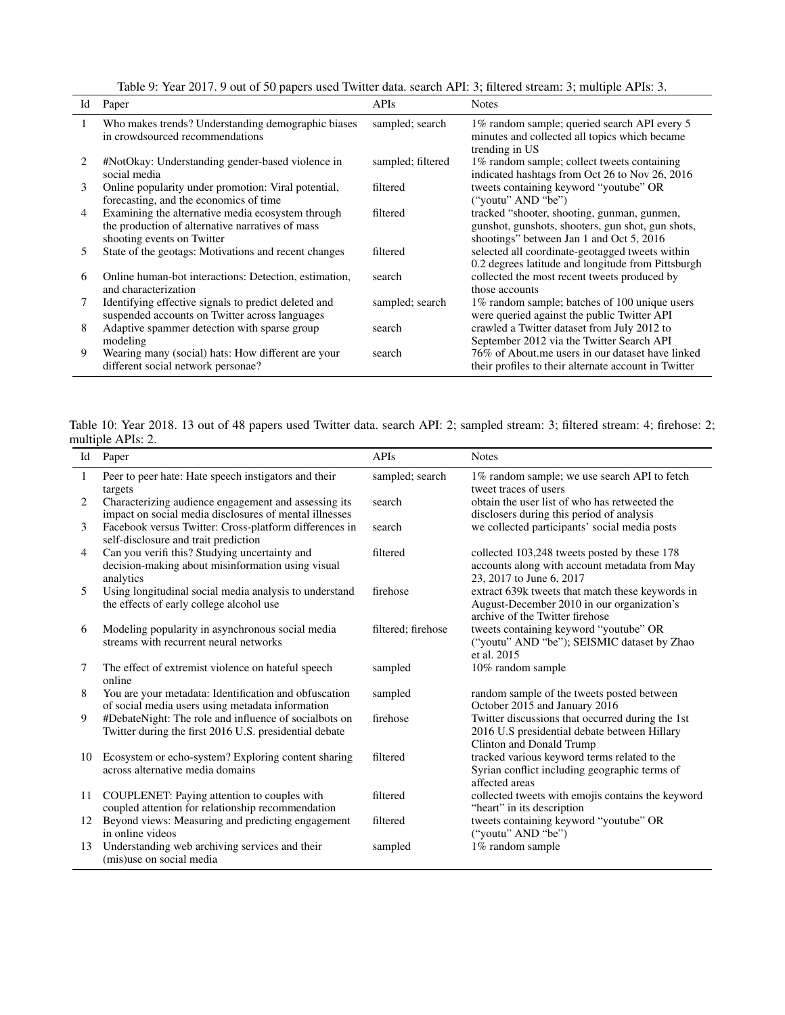Table 9: Year 2017. 9 out of 50 papers used Twitter data. search API: 3; filtered stream: 3; multiple APIs: 3.

| Id | Paper                                                                                                                               | APIs              | <b>Notes</b>                                                                                                                                 |
|----|-------------------------------------------------------------------------------------------------------------------------------------|-------------------|----------------------------------------------------------------------------------------------------------------------------------------------|
|    | Who makes trends? Understanding demographic biases<br>in crowdsourced recommendations                                               | sampled; search   | 1% random sample; queried search API every 5<br>minutes and collected all topics which became<br>trending in US                              |
| 2  | #NotOkay: Understanding gender-based violence in<br>social media                                                                    | sampled; filtered | 1% random sample; collect tweets containing<br>indicated hashtags from Oct 26 to Nov 26, 2016                                                |
| 3  | Online popularity under promotion: Viral potential,<br>forecasting, and the economics of time                                       | filtered          | tweets containing keyword "youtube" OR<br>("youtu" AND "be")                                                                                 |
| 4  | Examining the alternative media ecosystem through<br>the production of alternative narratives of mass<br>shooting events on Twitter | filtered          | tracked "shooter, shooting, gunman, gunmen,<br>gunshot, gunshots, shooters, gun shot, gun shots,<br>shootings" between Jan 1 and Oct 5, 2016 |
| 5  | State of the geotags: Motivations and recent changes                                                                                | filtered          | selected all coordinate-geotagged tweets within<br>0.2 degrees latitude and longitude from Pittsburgh                                        |
| 6  | Online human-bot interactions: Detection, estimation,<br>and characterization                                                       | search            | collected the most recent tweets produced by<br>those accounts                                                                               |
|    | Identifying effective signals to predict deleted and<br>suspended accounts on Twitter across languages                              | sampled; search   | 1% random sample; batches of 100 unique users<br>were queried against the public Twitter API                                                 |
| 8  | Adaptive spammer detection with sparse group<br>modeling                                                                            | search            | crawled a Twitter dataset from July 2012 to<br>September 2012 via the Twitter Search API                                                     |
| 9  | Wearing many (social) hats: How different are your<br>different social network personae?                                            | search            | 76% of About me users in our dataset have linked<br>their profiles to their alternate account in Twitter                                     |

Table 10: Year 2018. 13 out of 48 papers used Twitter data. search API: 2; sampled stream: 3; filtered stream: 4; firehose: 2; multiple APIs: 2.  $\overline{\phantom{0}}$ 

| Id | Paper                                                                                                           | APIs               | <b>Notes</b>                                                                                                                      |
|----|-----------------------------------------------------------------------------------------------------------------|--------------------|-----------------------------------------------------------------------------------------------------------------------------------|
| 1  | Peer to peer hate: Hate speech instigators and their<br>targets                                                 | sampled; search    | 1% random sample; we use search API to fetch<br>tweet traces of users                                                             |
| 2  | Characterizing audience engagement and assessing its<br>impact on social media disclosures of mental illnesses  | search             | obtain the user list of who has retweeted the<br>disclosers during this period of analysis                                        |
| 3  | Facebook versus Twitter: Cross-platform differences in<br>self-disclosure and trait prediction                  | search             | we collected participants' social media posts                                                                                     |
| 4  | Can you verifi this? Studying uncertainty and<br>decision-making about misinformation using visual<br>analytics | filtered           | collected 103,248 tweets posted by these 178<br>accounts along with account metadata from May<br>23, 2017 to June 6, 2017         |
| 5  | Using longitudinal social media analysis to understand<br>the effects of early college alcohol use              | firehose           | extract 639k tweets that match these keywords in<br>August-December 2010 in our organization's<br>archive of the Twitter firehose |
| 6  | Modeling popularity in asynchronous social media<br>streams with recurrent neural networks                      | filtered; firehose | tweets containing keyword "youtube" OR<br>("youtu" AND "be"); SEISMIC dataset by Zhao<br>et al. 2015                              |
| 7  | The effect of extremist violence on hateful speech<br>online                                                    | sampled            | 10% random sample                                                                                                                 |
| 8  | You are your metadata: Identification and obfuscation<br>of social media users using metadata information       | sampled            | random sample of the tweets posted between<br>October 2015 and January 2016                                                       |
| 9  | #DebateNight: The role and influence of socialbots on<br>Twitter during the first 2016 U.S. presidential debate | firehose           | Twitter discussions that occurred during the 1st<br>2016 U.S presidential debate between Hillary<br>Clinton and Donald Trump      |
| 10 | Ecosystem or echo-system? Exploring content sharing<br>across alternative media domains                         | filtered           | tracked various keyword terms related to the<br>Syrian conflict including geographic terms of<br>affected areas                   |
| 11 | COUPLENET: Paying attention to couples with<br>coupled attention for relationship recommendation                | filtered           | collected tweets with emojis contains the keyword<br>"heart" in its description                                                   |
| 12 | Beyond views: Measuring and predicting engagement<br>in online videos                                           | filtered           | tweets containing keyword "youtube" OR<br>("youtu" AND "be")                                                                      |
| 13 | Understanding web archiving services and their<br>(mis)use on social media                                      | sampled            | 1% random sample                                                                                                                  |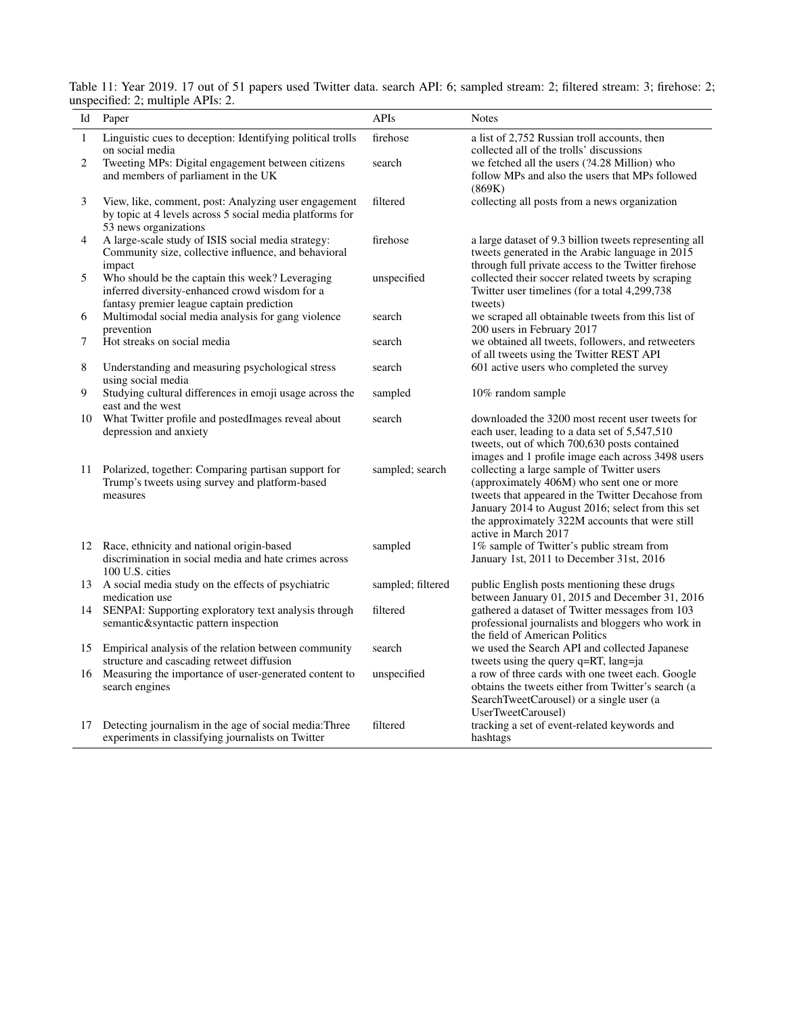Table 11: Year 2019. 17 out of 51 papers used Twitter data. search API: 6; sampled stream: 2; filtered stream: 3; firehose: 2; unspecified: 2; multiple APIs: 2.

| Id | $\mu$ <sub>1</sub> , $\mu$ <sub>1</sub> , $\mu$ <sub>1</sub> , $\mu$ <sub>1</sub> , $\mu$ <sub>1</sub> , $\mu$ <sub>1</sub> , $\mu$ <sub>1</sub> , $\mu$ <sub>1</sub> , $\mu$ <sub>1</sub> , $\mu$ <sub>1</sub> , $\mu$ <sub>1</sub> , $\mu$ <sub>1</sub> , $\mu$ <sub>1</sub> , $\mu$ <sub>1</sub> , $\mu$ <sub>1</sub> , $\mu$ <sub>1</sub> , $\mu$ <sub>1</sub> , $\mu$ <sub>1</sub> , $\mu$ <sub>1</sub> , $\mu$ <sub>1</sub> , $\mu$ <sub>1</sub> , $\mu$ <sub>1</sub> , $\mu$ <sub>1</sub> , $\mu$ <sub>1</sub> , $\mu$ <sub></sub><br>Paper | <b>APIs</b>       | <b>Notes</b>                                                                                                                                                                                                                                                                 |
|----|----------------------------------------------------------------------------------------------------------------------------------------------------------------------------------------------------------------------------------------------------------------------------------------------------------------------------------------------------------------------------------------------------------------------------------------------------------------------------------------------------------------------------------------------------|-------------------|------------------------------------------------------------------------------------------------------------------------------------------------------------------------------------------------------------------------------------------------------------------------------|
| 1  | Linguistic cues to deception: Identifying political trolls                                                                                                                                                                                                                                                                                                                                                                                                                                                                                         | firehose          | a list of 2,752 Russian troll accounts, then                                                                                                                                                                                                                                 |
|    | on social media                                                                                                                                                                                                                                                                                                                                                                                                                                                                                                                                    |                   | collected all of the trolls' discussions                                                                                                                                                                                                                                     |
| 2  | Tweeting MPs: Digital engagement between citizens<br>and members of parliament in the UK                                                                                                                                                                                                                                                                                                                                                                                                                                                           | search            | we fetched all the users (?4.28 Million) who<br>follow MPs and also the users that MPs followed<br>(869K)                                                                                                                                                                    |
| 3  | View, like, comment, post: Analyzing user engagement<br>by topic at 4 levels across 5 social media platforms for<br>53 news organizations                                                                                                                                                                                                                                                                                                                                                                                                          | filtered          | collecting all posts from a news organization                                                                                                                                                                                                                                |
| 4  | A large-scale study of ISIS social media strategy:<br>Community size, collective influence, and behavioral<br>impact                                                                                                                                                                                                                                                                                                                                                                                                                               | firehose          | a large dataset of 9.3 billion tweets representing all<br>tweets generated in the Arabic language in 2015<br>through full private access to the Twitter firehose                                                                                                             |
| 5  | Who should be the captain this week? Leveraging<br>inferred diversity-enhanced crowd wisdom for a<br>fantasy premier league captain prediction                                                                                                                                                                                                                                                                                                                                                                                                     | unspecified       | collected their soccer related tweets by scraping<br>Twitter user timelines (for a total 4,299,738)<br>tweets)                                                                                                                                                               |
| 6  | Multimodal social media analysis for gang violence<br>prevention                                                                                                                                                                                                                                                                                                                                                                                                                                                                                   | search            | we scraped all obtainable tweets from this list of<br>200 users in February 2017                                                                                                                                                                                             |
| 7  | Hot streaks on social media                                                                                                                                                                                                                                                                                                                                                                                                                                                                                                                        | search            | we obtained all tweets, followers, and retweeters<br>of all tweets using the Twitter REST API                                                                                                                                                                                |
| 8  | Understanding and measuring psychological stress<br>using social media                                                                                                                                                                                                                                                                                                                                                                                                                                                                             | search            | 601 active users who completed the survey                                                                                                                                                                                                                                    |
| 9  | Studying cultural differences in emoji usage across the<br>east and the west                                                                                                                                                                                                                                                                                                                                                                                                                                                                       | sampled           | 10% random sample                                                                                                                                                                                                                                                            |
| 10 | What Twitter profile and postedImages reveal about<br>depression and anxiety                                                                                                                                                                                                                                                                                                                                                                                                                                                                       | search            | downloaded the 3200 most recent user tweets for<br>each user, leading to a data set of 5,547,510<br>tweets, out of which 700,630 posts contained<br>images and 1 profile image each across 3498 users                                                                        |
| 11 | Polarized, together: Comparing partisan support for<br>Trump's tweets using survey and platform-based<br>measures                                                                                                                                                                                                                                                                                                                                                                                                                                  | sampled; search   | collecting a large sample of Twitter users<br>(approximately 406M) who sent one or more<br>tweets that appeared in the Twitter Decahose from<br>January 2014 to August 2016; select from this set<br>the approximately 322M accounts that were still<br>active in March 2017 |
|    | 12 Race, ethnicity and national origin-based<br>discrimination in social media and hate crimes across<br>100 U.S. cities                                                                                                                                                                                                                                                                                                                                                                                                                           | sampled           | 1% sample of Twitter's public stream from<br>January 1st, 2011 to December 31st, 2016                                                                                                                                                                                        |
| 13 | A social media study on the effects of psychiatric<br>medication use                                                                                                                                                                                                                                                                                                                                                                                                                                                                               | sampled; filtered | public English posts mentioning these drugs<br>between January 01, 2015 and December 31, 2016                                                                                                                                                                                |
| 14 | SENPAI: Supporting exploratory text analysis through<br>semantic&syntactic pattern inspection                                                                                                                                                                                                                                                                                                                                                                                                                                                      | filtered          | gathered a dataset of Twitter messages from 103<br>professional journalists and bloggers who work in<br>the field of American Politics                                                                                                                                       |
| 15 | Empirical analysis of the relation between community<br>structure and cascading retweet diffusion                                                                                                                                                                                                                                                                                                                                                                                                                                                  | search            | we used the Search API and collected Japanese<br>tweets using the query q=RT, lang=ja                                                                                                                                                                                        |
| 16 | Measuring the importance of user-generated content to<br>search engines                                                                                                                                                                                                                                                                                                                                                                                                                                                                            | unspecified       | a row of three cards with one tweet each. Google<br>obtains the tweets either from Twitter's search (a<br>SearchTweetCarousel) or a single user (a<br>UserTweetCarousel)                                                                                                     |
| 17 | Detecting journalism in the age of social media: Three<br>experiments in classifying journalists on Twitter                                                                                                                                                                                                                                                                                                                                                                                                                                        | filtered          | tracking a set of event-related keywords and<br>hashtags                                                                                                                                                                                                                     |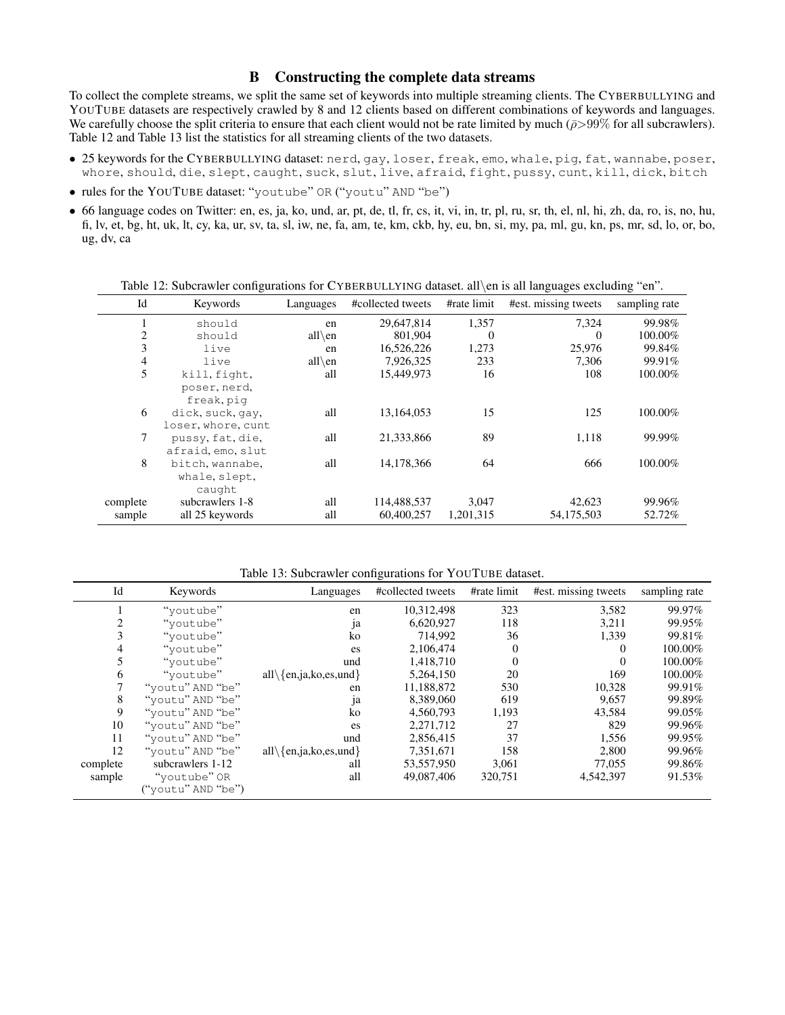# B Constructing the complete data streams

To collect the complete streams, we split the same set of keywords into multiple streaming clients. The CYBERBULLYING and YOUTUBE datasets are respectively crawled by 8 and 12 clients based on different combinations of keywords and languages. We carefully choose the split criteria to ensure that each client would not be rate limited by much ( $\bar{\rho}$ >99% for all subcrawlers). Table 12 and Table 13 list the statistics for all streaming clients of the two datasets.

- 25 keywords for the CYBERBULLYING dataset: nerd, gay, loser, freak, emo, whale, pig, fat, wannabe, poser, whore, should, die, slept, caught, suck, slut, live, afraid, fight, pussy, cunt, kill, dick, bitch
- rules for the YOUTUBE dataset: "youtube" OR ("youtu" AND "be")
- 66 language codes on Twitter: en, es, ja, ko, und, ar, pt, de, tl, fr, cs, it, vi, in, tr, pl, ru, sr, th, el, nl, hi, zh, da, ro, is, no, hu, fi, lv, et, bg, ht, uk, lt, cy, ka, ur, sv, ta, sl, iw, ne, fa, am, te, km, ckb, hy, eu, bn, si, my, pa, ml, gu, kn, ps, mr, sd, lo, or, bo, ug, dv, ca

|          | ັ                  |           |                   |             | ັ                    | ັ             |
|----------|--------------------|-----------|-------------------|-------------|----------------------|---------------|
| Id       | Keywords           | Languages | #collected tweets | #rate limit | #est. missing tweets | sampling rate |
|          | should             | en        | 29,647,814        | 1,357       | 7,324                | 99.98%        |
| 2        | should             | $all\$ en | 801.904           | $\Omega$    | $\theta$             | 100.00%       |
| 3        | live               | en        | 16,526,226        | 1,273       | 25,976               | 99.84%        |
| 4        | live               | all $\en$ | 7,926,325         | 233         | 7.306                | 99.91%        |
| 5        | kill, fight,       | all       | 15,449,973        | 16          | 108                  | 100.00%       |
|          | poser, nerd,       |           |                   |             |                      |               |
|          | freak, piq         |           |                   |             |                      |               |
| 6        | dick, suck, gay,   | all       | 13,164,053        | 15          | 125                  | 100.00%       |
|          | loser, whore, cunt |           |                   |             |                      |               |
| 7        | pussy, fat, die,   | all       | 21,333,866        | 89          | 1,118                | 99.99%        |
|          | afraid, emo, slut  |           |                   |             |                      |               |
| 8        | bitch, wannabe,    | all       | 14,178,366        | 64          | 666                  | 100.00%       |
|          | whale, slept,      |           |                   |             |                      |               |
|          | caught             |           |                   |             |                      |               |
| complete | subcrawlers 1-8    | all       | 114,488,537       | 3,047       | 42,623               | 99.96%        |
| sample   | all 25 keywords    | all       | 60,400,257        | 1,201,315   | 54,175,503           | 52.72%        |

Table 12: Subcrawler configurations for CYBERBULLYING dataset. all \en is all languages excluding "en".

Table 13: Subcrawler configurations for YOUTUBE dataset.

| Id       | Keywords                           | Languages                     | #collected tweets | #rate limit    | #est. missing tweets | sampling rate |
|----------|------------------------------------|-------------------------------|-------------------|----------------|----------------------|---------------|
|          | "youtube"                          | en                            | 10,312,498        | 323            | 3,582                | 99.97%        |
|          | "voutube"                          | ja                            | 6.620.927         | 118            | 3,211                | 99.95%        |
|          | "voutube"                          | ko                            | 714,992           | 36             | 1,339                | 99.81%        |
|          | "voutube"                          | es                            | 2,106,474         | $\overline{0}$ | $\Omega$             | 100.00%       |
|          | "voutube"                          | und                           | 1,418,710         | $\Omega$       | $\Omega$             | 100.00%       |
| 6        | "youtube"                          | all $\{en, ja, ko, es, und\}$ | 5,264,150         | 20             | 169                  | 100.00%       |
|          | "youtu" AND "be"                   | en                            | 11,188,872        | 530            | 10,328               | 99.91%        |
| 8        | "youtu" AND "be"                   | ja                            | 8,389,060         | 619            | 9,657                | 99.89%        |
| 9        | "voutu" AND "be"                   | ko                            | 4.560.793         | 1,193          | 43,584               | 99.05%        |
| 10       | "youtu" AND "be"                   | es                            | 2,271,712         | 27             | 829                  | 99.96%        |
| 11       | "youtu" AND "be"                   | und                           | 2,856,415         | 37             | 1,556                | 99.95%        |
| 12       | "voutu" AND "be"                   | all $\{en, ja, ko, es, und\}$ | 7,351,671         | 158            | 2,800                | 99.96%        |
| complete | subcrawlers 1-12                   | all                           | 53,557,950        | 3.061          | 77,055               | 99.86%        |
| sample   | "youtube" OR<br>("youtu" AND "be") | all                           | 49,087,406        | 320,751        | 4,542,397            | 91.53%        |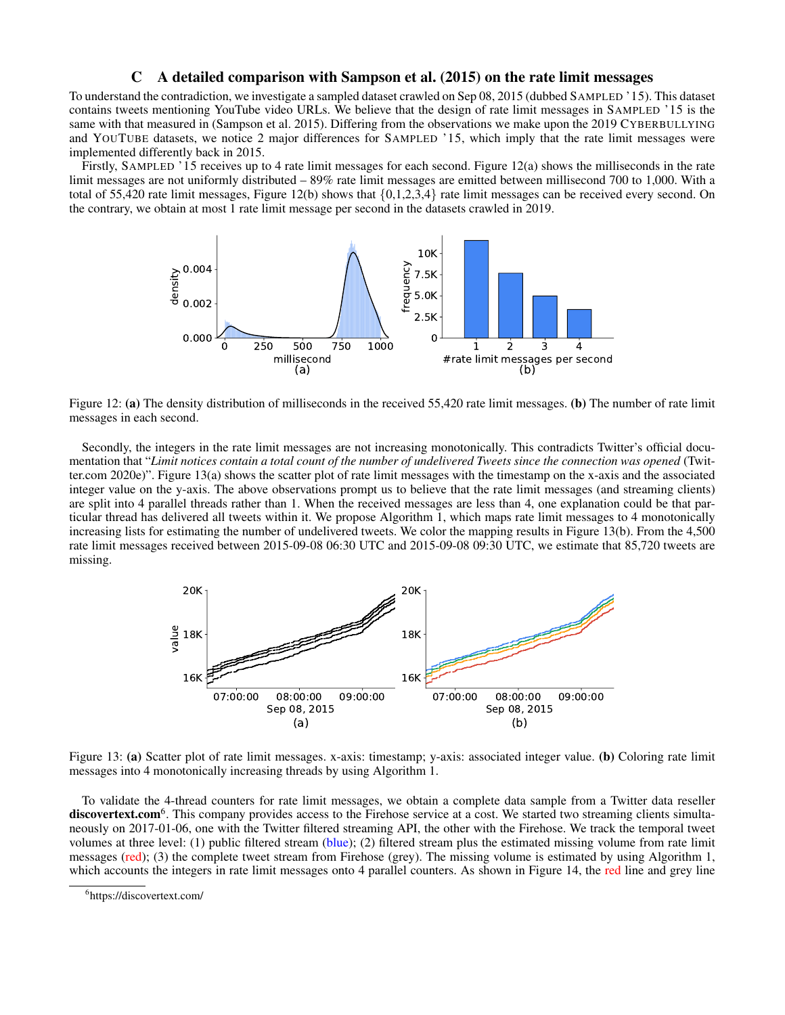## C A detailed comparison with Sampson et al. (2015) on the rate limit messages

To understand the contradiction, we investigate a sampled dataset crawled on Sep 08, 2015 (dubbed SAMPLED '15). This dataset contains tweets mentioning YouTube video URLs. We believe that the design of rate limit messages in SAMPLED '15 is the same with that measured in (Sampson et al. 2015). Differing from the observations we make upon the 2019 CYBERBULLYING and YOUTUBE datasets, we notice 2 major differences for SAMPLED '15, which imply that the rate limit messages were implemented differently back in 2015.

Firstly, SAMPLED '15 receives up to 4 rate limit messages for each second. Figure 12(a) shows the milliseconds in the rate limit messages are not uniformly distributed – 89% rate limit messages are emitted between millisecond 700 to 1,000. With a total of 55,420 rate limit messages, Figure 12(b) shows that  $\{0,1,2,3,4\}$  rate limit messages can be received every second. On the contrary, we obtain at most 1 rate limit message per second in the datasets crawled in 2019.



Figure 12: (a) The density distribution of milliseconds in the received 55,420 rate limit messages. (b) The number of rate limit messages in each second.

Secondly, the integers in the rate limit messages are not increasing monotonically. This contradicts Twitter's official documentation that "*Limit notices contain a total count of the number of undelivered Tweets since the connection was opened* (Twitter.com 2020e)". Figure 13(a) shows the scatter plot of rate limit messages with the timestamp on the x-axis and the associated integer value on the y-axis. The above observations prompt us to believe that the rate limit messages (and streaming clients) are split into 4 parallel threads rather than 1. When the received messages are less than 4, one explanation could be that particular thread has delivered all tweets within it. We propose Algorithm 1, which maps rate limit messages to 4 monotonically increasing lists for estimating the number of undelivered tweets. We color the mapping results in Figure 13(b). From the 4,500 rate limit messages received between 2015-09-08 06:30 UTC and 2015-09-08 09:30 UTC, we estimate that 85,720 tweets are missing.



Figure 13: (a) Scatter plot of rate limit messages. x-axis: timestamp; y-axis: associated integer value. (b) Coloring rate limit messages into 4 monotonically increasing threads by using Algorithm 1.

To validate the 4-thread counters for rate limit messages, we obtain a complete data sample from a Twitter data reseller discovertext.com<sup>6</sup>. This company provides access to the Firehose service at a cost. We started two streaming clients simultaneously on 2017-01-06, one with the Twitter filtered streaming API, the other with the Firehose. We track the temporal tweet volumes at three level: (1) public filtered stream (blue); (2) filtered stream plus the estimated missing volume from rate limit messages (red); (3) the complete tweet stream from Firehose (grey). The missing volume is estimated by using Algorithm 1, which accounts the integers in rate limit messages onto 4 parallel counters. As shown in Figure 14, the red line and grey line

<sup>6</sup> https://discovertext.com/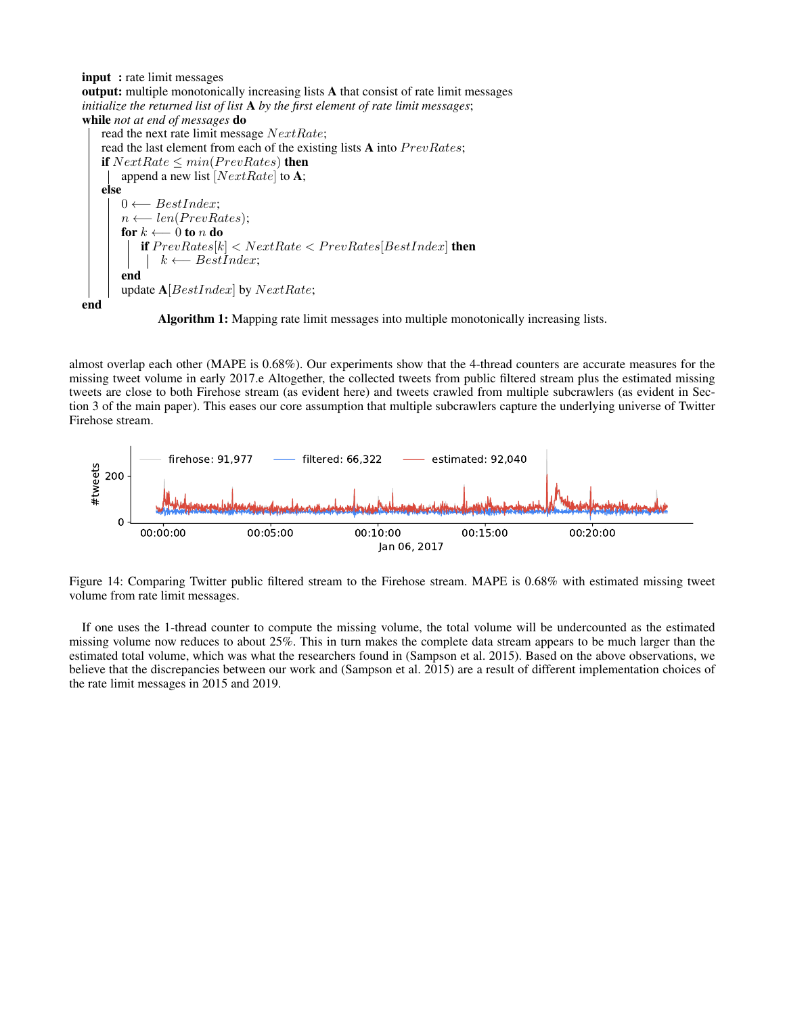input : rate limit messages output: multiple monotonically increasing lists A that consist of rate limit messages *initialize the returned list of list* A *by the first element of rate limit messages*; while *not at end of messages* do read the next rate limit message  $NextRate$ ; read the last element from each of the existing lists  $A$  into  $Prev Rates;$ if  $NextRate \leq min(Prev Rates)$  then

```
append a new list [NextRate] to A;
else
    0 \longleftarrow BestIndex;n \leftarrow len(PrevRates);for k \leftarrow 0 to n do
        if Prev Rates[k] < NextRate < Prev Rates[BestIndex] then
           k \leftarrow BestIndex;end
    update A[BestIndex] by NextRate;end
```
Algorithm 1: Mapping rate limit messages into multiple monotonically increasing lists.

almost overlap each other (MAPE is 0.68%). Our experiments show that the 4-thread counters are accurate measures for the missing tweet volume in early 2017.e Altogether, the collected tweets from public filtered stream plus the estimated missing tweets are close to both Firehose stream (as evident here) and tweets crawled from multiple subcrawlers (as evident in Section 3 of the main paper). This eases our core assumption that multiple subcrawlers capture the underlying universe of Twitter Firehose stream.



Figure 14: Comparing Twitter public filtered stream to the Firehose stream. MAPE is 0.68% with estimated missing tweet volume from rate limit messages.

If one uses the 1-thread counter to compute the missing volume, the total volume will be undercounted as the estimated missing volume now reduces to about 25%. This in turn makes the complete data stream appears to be much larger than the estimated total volume, which was what the researchers found in (Sampson et al. 2015). Based on the above observations, we believe that the discrepancies between our work and (Sampson et al. 2015) are a result of different implementation choices of the rate limit messages in 2015 and 2019.